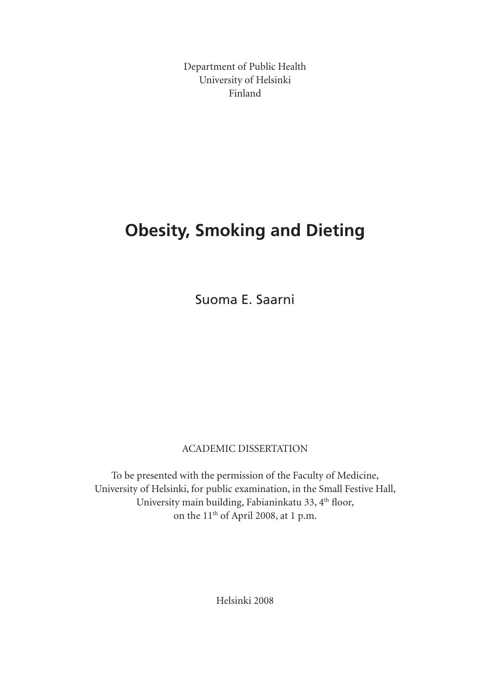Department of Public Health University of Helsinki Finland

# **Obesity, Smoking and Dieting**

Suoma E. Saarni

### ACADEMIC DISSERTATION

To be presented with the permission of the Faculty of Medicine, University of Helsinki, for public examination, in the Small Festive Hall, University main building, Fabianinkatu 33, 4<sup>th</sup> floor, on the 11th of April 2008, at 1 p.m.

Helsinki 2008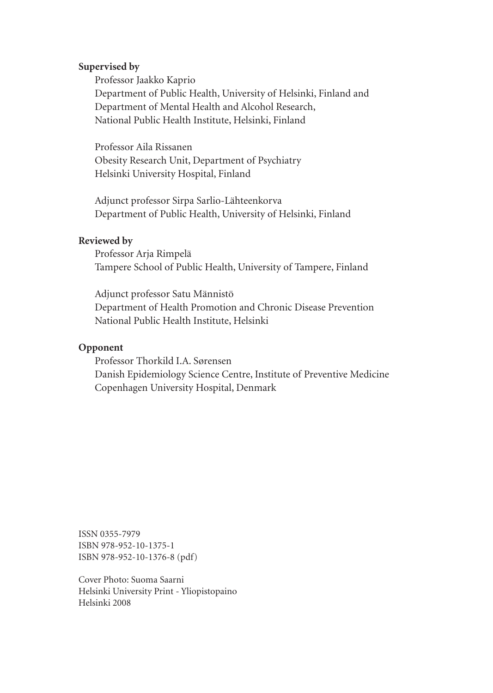#### **Supervised by**

Professor Jaakko Kaprio Department of Public Health, University of Helsinki, Finland and Department of Mental Health and Alcohol Research, National Public Health Institute, Helsinki, Finland

Professor Aila Rissanen Obesity Research Unit, Department of Psychiatry Helsinki University Hospital, Finland

Adjunct professor Sirpa Sarlio-Lähteenkorva Department of Public Health, University of Helsinki, Finland

#### **Reviewed by**

Professor Arja Rimpelä Tampere School of Public Health, University of Tampere, Finland

Adjunct professor Satu Männistö Department of Health Promotion and Chronic Disease Prevention National Public Health Institute, Helsinki

#### **Opponent**

Professor Thorkild I.A. Sørensen Danish Epidemiology Science Centre, Institute of Preventive Medicine Copenhagen University Hospital, Denmark

ISSN 0355-7979 ISBN 978-952-10-1375-1 ISBN 978-952-10-1376-8 (pdf)

Cover Photo: Suoma Saarni Helsinki University Print - Yliopistopaino Helsinki 2008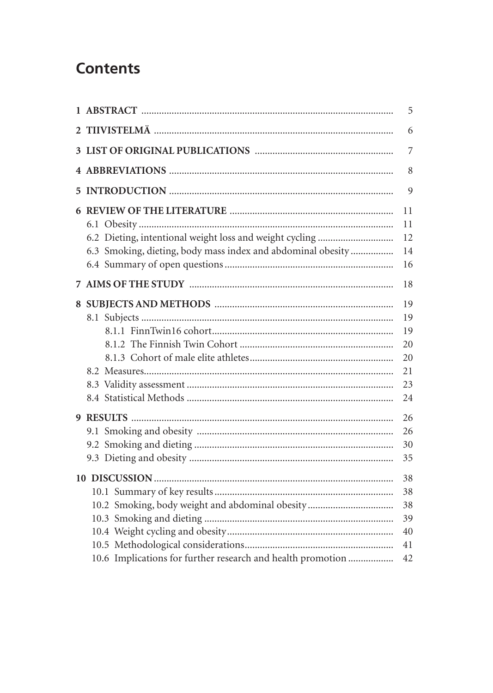# **Contents**

|    |                                                             | 5              |
|----|-------------------------------------------------------------|----------------|
| 2  |                                                             | 6              |
|    |                                                             | $\overline{7}$ |
|    |                                                             | 8              |
| 5. |                                                             | 9              |
|    |                                                             | 11             |
|    |                                                             | 11             |
|    |                                                             | 12             |
|    | 6.3 Smoking, dieting, body mass index and abdominal obesity | 14             |
|    |                                                             | 16             |
|    |                                                             | 18             |
|    |                                                             | 19             |
|    |                                                             | 19             |
|    |                                                             | 19             |
|    |                                                             | 20             |
|    |                                                             | 20             |
|    |                                                             | 21             |
|    |                                                             | 23             |
|    |                                                             | 24             |
|    |                                                             | 26             |
|    |                                                             | 26             |
|    |                                                             | 30             |
|    |                                                             | 35             |
|    |                                                             | 38             |
|    |                                                             | 38             |
|    | 10.2 Smoking, body weight and abdominal obesity             | 38             |
|    |                                                             | 39             |
|    |                                                             | 40             |
|    |                                                             | 41             |
|    | 10.6 Implications for further research and health promotion | 42             |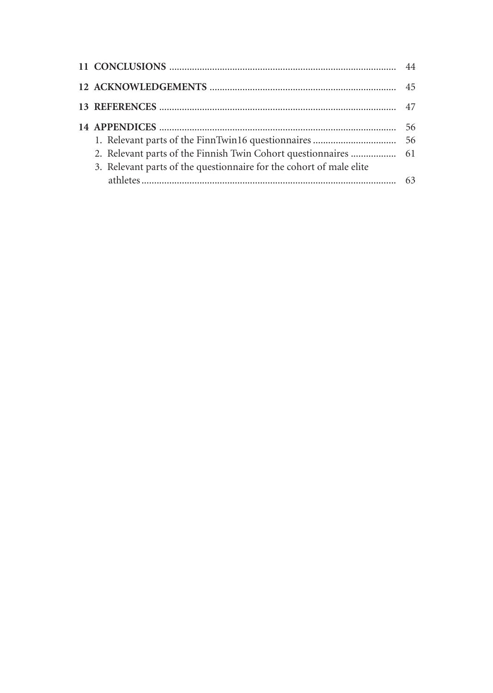| 3. Relevant parts of the questionnaire for the cohort of male elite |  |
|---------------------------------------------------------------------|--|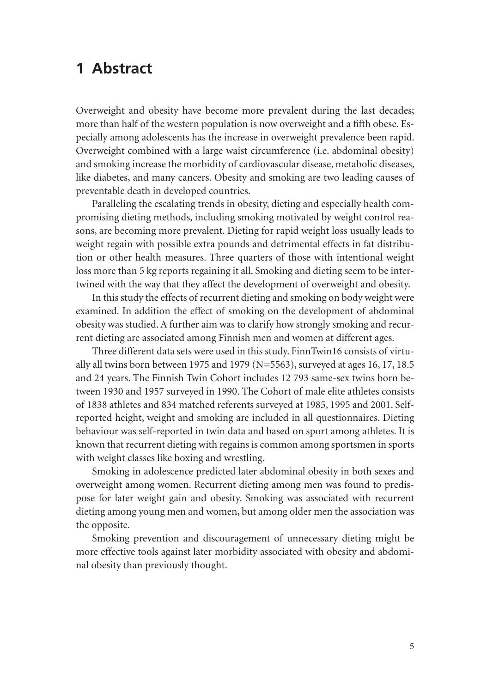# **1 Abstract**

Overweight and obesity have become more prevalent during the last decades; more than half of the western population is now overweight and a fifth obese. Especially among adolescents has the increase in overweight prevalence been rapid. Overweight combined with a large waist circumference (i.e. abdominal obesity) and smoking increase the morbidity of cardiovascular disease, metabolic diseases, like diabetes, and many cancers. Obesity and smoking are two leading causes of preventable death in developed countries.

Paralleling the escalating trends in obesity, dieting and especially health compromising dieting methods, including smoking motivated by weight control reasons, are becoming more prevalent. Dieting for rapid weight loss usually leads to weight regain with possible extra pounds and detrimental effects in fat distribution or other health measures. Three quarters of those with intentional weight loss more than 5 kg reports regaining it all. Smoking and dieting seem to be intertwined with the way that they affect the development of overweight and obesity.

In this study the effects of recurrent dieting and smoking on body weight were examined. In addition the effect of smoking on the development of abdominal obesity was studied. A further aim was to clarify how strongly smoking and recurrent dieting are associated among Finnish men and women at different ages.

Three different data sets were used in this study. FinnTwin16 consists of virtually all twins born between 1975 and 1979 (N=5563), surveyed at ages 16, 17, 18.5 and 24 years. The Finnish Twin Cohort includes 12 793 same-sex twins born between 1930 and 1957 surveyed in 1990. The Cohort of male elite athletes consists of 1838 athletes and 834 matched referents surveyed at 1985, 1995 and 2001. Selfreported height, weight and smoking are included in all questionnaires. Dieting behaviour was self-reported in twin data and based on sport among athletes. It is known that recurrent dieting with regains is common among sportsmen in sports with weight classes like boxing and wrestling.

Smoking in adolescence predicted later abdominal obesity in both sexes and overweight among women. Recurrent dieting among men was found to predispose for later weight gain and obesity. Smoking was associated with recurrent dieting among young men and women, but among older men the association was the opposite.

Smoking prevention and discouragement of unnecessary dieting might be more effective tools against later morbidity associated with obesity and abdominal obesity than previously thought.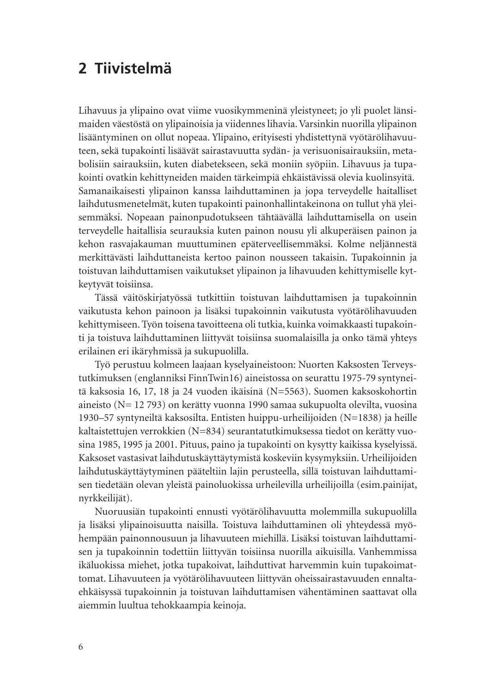# **2 Tiivistelmä**

Lihavuus ja ylipaino ovat viime vuosikymmeninä yleistyneet; jo yli puolet länsimaiden väestöstä on ylipainoisia ja viidennes lihavia. Varsinkin nuorilla ylipainon lisääntyminen on ollut nopeaa. Ylipaino, erityisesti yhdistettynä vyötärölihavuuteen, sekä tupakointi lisäävät sairastavuutta sydän- ja verisuonisairauksiin, metabolisiin sairauksiin, kuten diabetekseen, sekä moniin syöpiin. Lihavuus ja tupakointi ovatkin kehittyneiden maiden tärkeimpiä ehkäistävissä olevia kuolinsyitä. Samanaikaisesti ylipainon kanssa laihduttaminen ja jopa terveydelle haitalliset laihdutusmenetelmät, kuten tupakointi painonhallintakeinona on tullut yhä yleisemmäksi. Nopeaan painonpudotukseen tähtäävällä laihduttamisella on usein terveydelle haitallisia seurauksia kuten painon nousu yli alkuperäisen painon ja kehon rasvajakauman muuttuminen epäterveellisemmäksi. Kolme neljännestä merkittävästi laihduttaneista kertoo painon nousseen takaisin. Tupakoinnin ja toistuvan laihduttamisen vaikutukset ylipainon ja lihavuuden kehittymiselle kytkeytyvät toisiinsa.

Tässä väitöskirjatyössä tutkittiin toistuvan laihduttamisen ja tupakoinnin vaikutusta kehon painoon ja lisäksi tupakoinnin vaikutusta vyötärölihavuuden kehittymiseen. Työn toisena tavoitteena oli tutkia, kuinka voimakkaasti tupakointi ja toistuva laihduttaminen liittyvät toisiinsa suomalaisilla ja onko tämä yhteys erilainen eri ikäryhmissä ja sukupuolilla.

Työ perustuu kolmeen laajaan kyselyaineistoon: Nuorten Kaksosten Terveystutkimuksen (englanniksi FinnTwin16) aineistossa on seurattu 1975-79 syntyneitä kaksosia 16, 17, 18 ja 24 vuoden ikäisinä (N=5563). Suomen kaksoskohortin aineisto (N= 12 793) on kerätty vuonna 1990 samaa sukupuolta olevilta, vuosina 1930–57 syntyneiltä kaksosilta. Entisten huippu-urheilijoiden (N=1838) ja heille kaltaistettujen verrokkien (N=834) seurantatutkimuksessa tiedot on kerätty vuosina 1985, 1995 ja 2001. Pituus, paino ja tupakointi on kysytty kaikissa kyselyissä. Kaksoset vastasivat laihdutuskäyttäytymistä koskeviin kysymyksiin. Urheilijoiden laihdutuskäyttäytyminen pääteltiin lajin perusteella, sillä toistuvan laihduttamisen tiedetään olevan yleistä painoluokissa urheilevilla urheilijoilla (esim.painijat, nyrkkeilijät).

Nuoruusiän tupakointi ennusti vyötärölihavuutta molemmilla sukupuolilla ja lisäksi ylipainoisuutta naisilla. Toistuva laihduttaminen oli yhteydessä myöhempään painonnousuun ja lihavuuteen miehillä. Lisäksi toistuvan laihduttamisen ja tupakoinnin todettiin liittyvän toisiinsa nuorilla aikuisilla. Vanhemmissa ikäluokissa miehet, jotka tupakoivat, laihduttivat harvemmin kuin tupakoimattomat. Lihavuuteen ja vyötärölihavuuteen liittyvän oheissairastavuuden ennaltaehkäisyssä tupakoinnin ja toistuvan laihduttamisen vähentäminen saattavat olla aiemmin luultua tehokkaampia keinoja.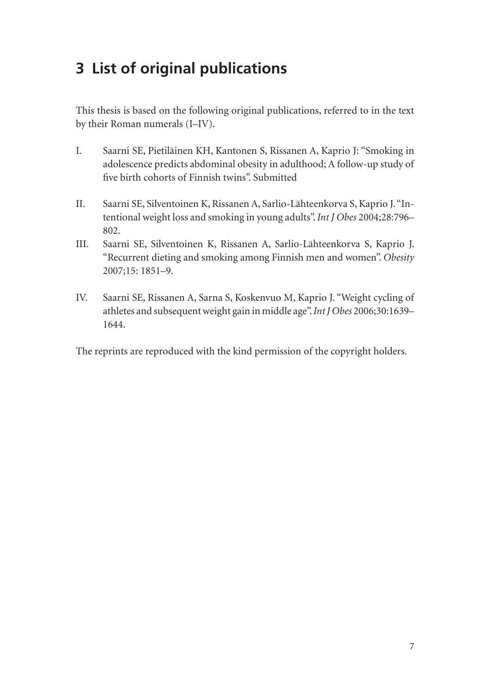# **3 List of original publications**

This thesis is based on the following original publications, referred to in the text by their Roman numerals (I–IV).

- I. Saarni SE, Pietiläinen KH, Kantonen S, Rissanen A, Kaprio J: "Smoking in adolescence predicts abdominal obesity in adulthood; A follow-up study of five birth cohorts of Finnish twins". Submitted
- II. Saarni SE, Silventoinen K, Rissanen A, Sarlio-Lähteenkorva S, Kaprio J. "Intentional weight loss and smoking in young adults". *Int J Obes* 2004;28:796– 802.
- III. Saarni SE, Silventoinen K, Rissanen A, Sarlio-Lähteenkorva S, Kaprio J. "Recurrent dieting and smoking among Finnish men and women". *Obesity*  2007;15: 1851–9.
- IV. Saarni SE, Rissanen A, Sarna S, Koskenvuo M, Kaprio J. "Weight cycling of athletes and subsequent weight gain in middle age". *Int J Obes* 2006;30:1639– 1644.

The reprints are reproduced with the kind permission of the copyright holders.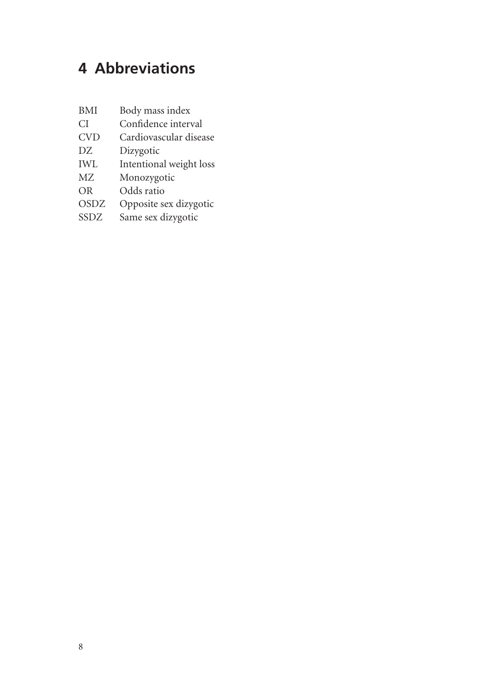# **4 Abbreviations**

| BMI         | Body mass index         |
|-------------|-------------------------|
| СI          | Confidence interval     |
| <b>CVD</b>  | Cardiovascular disease  |
| DZ          | Dizygotic               |
| <b>IWL</b>  | Intentional weight loss |
| MΖ          | Monozygotic             |
| <b>OR</b>   | Odds ratio              |
| <b>OSDZ</b> | Opposite sex dizygotic  |
| SSDZ        | Same sex dizygotic      |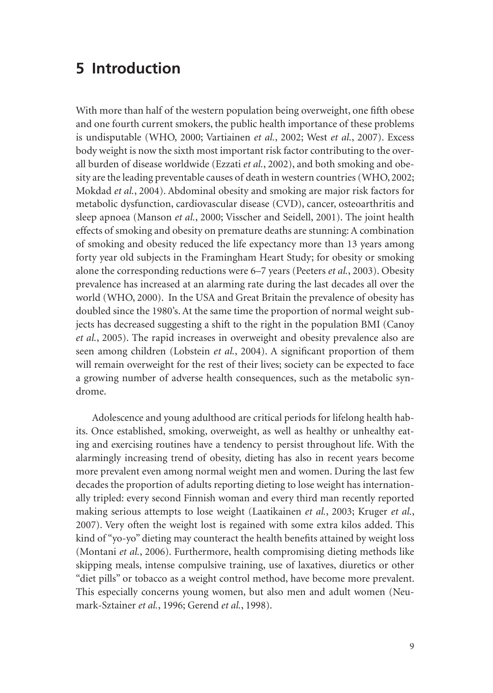# **5 Introduction**

With more than half of the western population being overweight, one fifth obese and one fourth current smokers, the public health importance of these problems is undisputable (WHO, 2000; Vartiainen *et al.*, 2002; West *et al.*, 2007). Excess body weight is now the sixth most important risk factor contributing to the overall burden of disease worldwide (Ezzati *et al.*, 2002), and both smoking and obesity are the leading preventable causes of death in western countries (WHO, 2002; Mokdad *et al.*, 2004). Abdominal obesity and smoking are major risk factors for metabolic dysfunction, cardiovascular disease (CVD), cancer, osteoarthritis and sleep apnoea (Manson *et al.*, 2000; Visscher and Seidell, 2001). The joint health effects of smoking and obesity on premature deaths are stunning: A combination of smoking and obesity reduced the life expectancy more than 13 years among forty year old subjects in the Framingham Heart Study; for obesity or smoking alone the corresponding reductions were 6–7 years (Peeters *et al.*, 2003). Obesity prevalence has increased at an alarming rate during the last decades all over the world (WHO, 2000). In the USA and Great Britain the prevalence of obesity has doubled since the 1980's. At the same time the proportion of normal weight subjects has decreased suggesting a shift to the right in the population BMI (Canoy *et al.*, 2005). The rapid increases in overweight and obesity prevalence also are seen among children (Lobstein et al., 2004). A significant proportion of them will remain overweight for the rest of their lives; society can be expected to face a growing number of adverse health consequences, such as the metabolic syndrome.

Adolescence and young adulthood are critical periods for lifelong health habits. Once established, smoking, overweight, as well as healthy or unhealthy eating and exercising routines have a tendency to persist throughout life. With the alarmingly increasing trend of obesity, dieting has also in recent years become more prevalent even among normal weight men and women. During the last few decades the proportion of adults reporting dieting to lose weight has internationally tripled: every second Finnish woman and every third man recently reported making serious attempts to lose weight (Laatikainen *et al.*, 2003; Kruger *et al.*, 2007). Very often the weight lost is regained with some extra kilos added. This kind of "yo-yo" dieting may counteract the health benefits attained by weight loss (Montani *et al.*, 2006). Furthermore, health compromising dieting methods like skipping meals, intense compulsive training, use of laxatives, diuretics or other "diet pills" or tobacco as a weight control method, have become more prevalent. This especially concerns young women, but also men and adult women (Neumark-Sztainer *et al.*, 1996; Gerend *et al.*, 1998).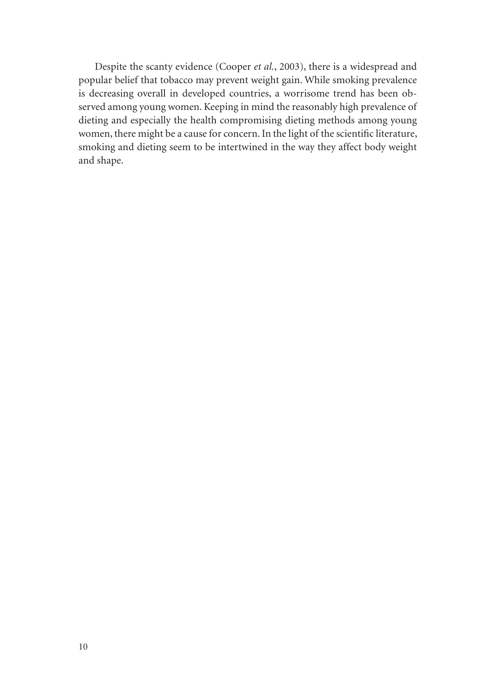Despite the scanty evidence (Cooper *et al.*, 2003), there is a widespread and popular belief that tobacco may prevent weight gain. While smoking prevalence is decreasing overall in developed countries, a worrisome trend has been observed among young women. Keeping in mind the reasonably high prevalence of dieting and especially the health compromising dieting methods among young women, there might be a cause for concern. In the light of the scientific literature, smoking and dieting seem to be intertwined in the way they affect body weight and shape.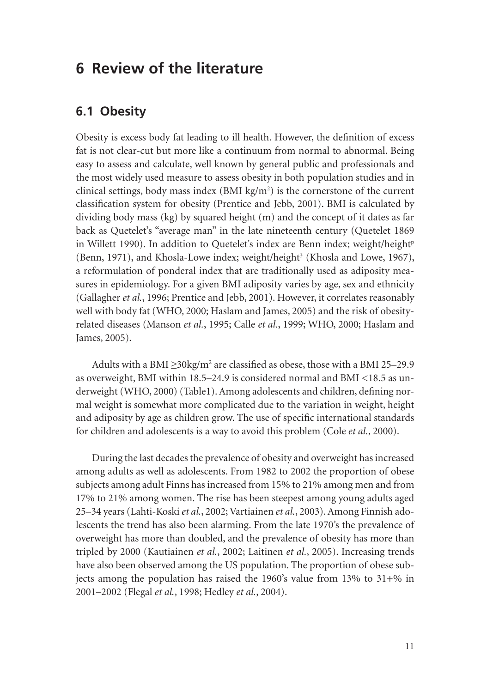# **6 Review of the literature**

### **6.1 Obesity**

Obesity is excess body fat leading to ill health. However, the definition of excess fat is not clear-cut but more like a continuum from normal to abnormal. Being easy to assess and calculate, well known by general public and professionals and the most widely used measure to assess obesity in both population studies and in clinical settings, body mass index  $(BMI \ kg/m^2)$  is the cornerstone of the current classification system for obesity (Prentice and Jebb, 2001). BMI is calculated by dividing body mass (kg) by squared height (m) and the concept of it dates as far back as Quetelet's "average man" in the late nineteenth century (Quetelet 1869 in Willett 1990). In addition to Quetelet's index are Benn index; weight/height $p$ (Benn, 1971), and Khosla-Lowe index; weight/height<sup>3</sup> (Khosla and Lowe, 1967), a reformulation of ponderal index that are traditionally used as adiposity measures in epidemiology. For a given BMI adiposity varies by age, sex and ethnicity (Gallagher *et al.*, 1996; Prentice and Jebb, 2001). However, it correlates reasonably well with body fat (WHO, 2000; Haslam and James, 2005) and the risk of obesityrelated diseases (Manson *et al.*, 1995; Calle *et al.*, 1999; WHO, 2000; Haslam and James, 2005).

Adults with a BMI  $\geq$ 30kg/m<sup>2</sup> are classified as obese, those with a BMI 25–29.9 as overweight, BMI within 18.5–24.9 is considered normal and BMI <18.5 as underweight (WHO, 2000) (Table1). Among adolescents and children, defining normal weight is somewhat more complicated due to the variation in weight, height and adiposity by age as children grow. The use of specific international standards for children and adolescents is a way to avoid this problem (Cole *et al.*, 2000).

During the last decades the prevalence of obesity and overweight has increased among adults as well as adolescents. From 1982 to 2002 the proportion of obese subjects among adult Finns has increased from 15% to 21% among men and from 17% to 21% among women. The rise has been steepest among young adults aged 25–34 years (Lahti-Koski *et al.*, 2002; Vartiainen *et al.*, 2003). Among Finnish adolescents the trend has also been alarming. From the late 1970's the prevalence of overweight has more than doubled, and the prevalence of obesity has more than tripled by 2000 (Kautiainen *et al.*, 2002; Laitinen *et al.*, 2005). Increasing trends have also been observed among the US population. The proportion of obese subjects among the population has raised the 1960's value from 13% to 31+% in 2001–2002 (Flegal *et al.*, 1998; Hedley *et al.*, 2004).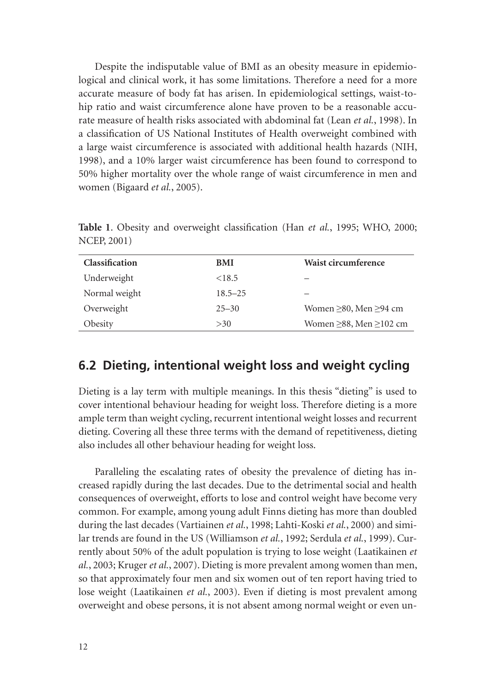Despite the indisputable value of BMI as an obesity measure in epidemiological and clinical work, it has some limitations. Therefore a need for a more accurate measure of body fat has arisen. In epidemiological settings, waist-tohip ratio and waist circumference alone have proven to be a reasonable accurate measure of health risks associated with abdominal fat (Lean *et al.*, 1998). In a classification of US National Institutes of Health overweight combined with a large waist circumference is associated with additional health hazards (NIH, 1998), and a 10% larger waist circumference has been found to correspond to 50% higher mortality over the whole range of waist circumference in men and women (Bigaard *et al.*, 2005).

| Classification | BMI         | Waist circumference                |
|----------------|-------------|------------------------------------|
| Underweight    | <18.5       |                                    |
| Normal weight  | $18.5 - 25$ |                                    |
| Overweight     | $25 - 30$   | Women $\geq 80$ , Men $\geq 94$ cm |
| Obesity        | >30         | Women $\geq$ 88, Men $\geq$ 102 cm |

**Table 1**. Obesity and overweight classification (Han *et al.*, 1995; WHO, 2000; NCEP, 2001)

### **6.2 Dieting, intentional weight loss and weight cycling**

Dieting is a lay term with multiple meanings. In this thesis "dieting" is used to cover intentional behaviour heading for weight loss. Therefore dieting is a more ample term than weight cycling, recurrent intentional weight losses and recurrent dieting. Covering all these three terms with the demand of repetitiveness, dieting also includes all other behaviour heading for weight loss.

Paralleling the escalating rates of obesity the prevalence of dieting has increased rapidly during the last decades. Due to the detrimental social and health consequences of overweight, efforts to lose and control weight have become very common. For example, among young adult Finns dieting has more than doubled during the last decades (Vartiainen *et al.*, 1998; Lahti-Koski *et al.*, 2000) and similar trends are found in the US (Williamson *et al.*, 1992; Serdula *et al.*, 1999). Currently about 50% of the adult population is trying to lose weight (Laatikainen *et al.*, 2003; Kruger *et al.*, 2007). Dieting is more prevalent among women than men, so that approximately four men and six women out of ten report having tried to lose weight (Laatikainen *et al.*, 2003). Even if dieting is most prevalent among overweight and obese persons, it is not absent among normal weight or even un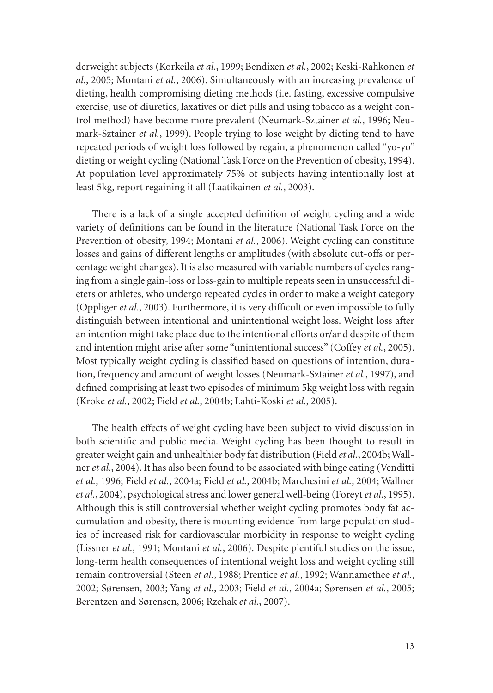derweight subjects (Korkeila *et al.*, 1999; Bendixen *et al.*, 2002; Keski-Rahkonen *et al.*, 2005; Montani *et al.*, 2006). Simultaneously with an increasing prevalence of dieting, health compromising dieting methods (i.e. fasting, excessive compulsive exercise, use of diuretics, laxatives or diet pills and using tobacco as a weight control method) have become more prevalent (Neumark-Sztainer *et al.*, 1996; Neumark-Sztainer *et al.*, 1999). People trying to lose weight by dieting tend to have repeated periods of weight loss followed by regain, a phenomenon called "yo-yo" dieting or weight cycling (National Task Force on the Prevention of obesity, 1994). At population level approximately 75% of subjects having intentionally lost at least 5kg, report regaining it all (Laatikainen *et al.*, 2003).

There is a lack of a single accepted definition of weight cycling and a wide variety of definitions can be found in the literature (National Task Force on the Prevention of obesity, 1994; Montani *et al.*, 2006). Weight cycling can constitute losses and gains of different lengths or amplitudes (with absolute cut-offs or percentage weight changes). It is also measured with variable numbers of cycles ranging from a single gain-loss or loss-gain to multiple repeats seen in unsuccessful dieters or athletes, who undergo repeated cycles in order to make a weight category (Oppliger et al., 2003). Furthermore, it is very difficult or even impossible to fully distinguish between intentional and unintentional weight loss. Weight loss after an intention might take place due to the intentional efforts or/and despite of them and intention might arise after some "unintentional success" (Coffey *et al.*, 2005). Most typically weight cycling is classified based on questions of intention, duration, frequency and amount of weight losses (Neumark-Sztainer *et al.*, 1997), and defined comprising at least two episodes of minimum 5kg weight loss with regain (Kroke *et al.*, 2002; Field *et al.*, 2004b; Lahti-Koski *et al.*, 2005).

The health effects of weight cycling have been subject to vivid discussion in both scientific and public media. Weight cycling has been thought to result in greater weight gain and unhealthier body fat distribution (Field *et al.*, 2004b; Wallner *et al.*, 2004). It has also been found to be associated with binge eating (Venditti *et al.*, 1996; Field *et al.*, 2004a; Field *et al.*, 2004b; Marchesini *et al.*, 2004; Wallner *et al.*, 2004), psychological stress and lower general well-being (Foreyt *et al.*, 1995). Although this is still controversial whether weight cycling promotes body fat accumulation and obesity, there is mounting evidence from large population studies of increased risk for cardiovascular morbidity in response to weight cycling (Lissner *et al.*, 1991; Montani *et al.*, 2006). Despite plentiful studies on the issue, long-term health consequences of intentional weight loss and weight cycling still remain controversial (Steen *et al.*, 1988; Prentice *et al.*, 1992; Wannamethee *et al.*, 2002; Sørensen, 2003; Yang *et al.*, 2003; Field *et al.*, 2004a; Sørensen *et al.*, 2005; Berentzen and Sørensen, 2006; Rzehak *et al.*, 2007).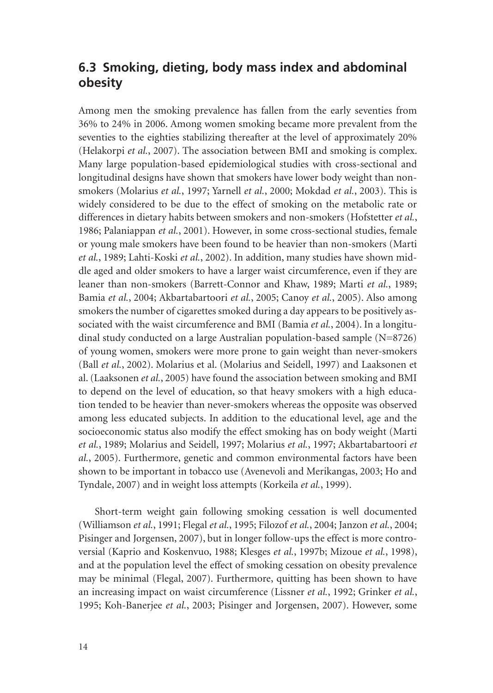## **6.3 Smoking, dieting, body mass index and abdominal obesity**

Among men the smoking prevalence has fallen from the early seventies from 36% to 24% in 2006. Among women smoking became more prevalent from the seventies to the eighties stabilizing thereafter at the level of approximately 20% (Helakorpi *et al.*, 2007). The association between BMI and smoking is complex. Many large population-based epidemiological studies with cross-sectional and longitudinal designs have shown that smokers have lower body weight than nonsmokers (Molarius *et al.*, 1997; Yarnell *et al.*, 2000; Mokdad *et al.*, 2003). This is widely considered to be due to the effect of smoking on the metabolic rate or differences in dietary habits between smokers and non-smokers (Hofstetter *et al.*, 1986; Palaniappan *et al.*, 2001). However, in some cross-sectional studies, female or young male smokers have been found to be heavier than non-smokers (Marti *et al.*, 1989; Lahti-Koski *et al.*, 2002). In addition, many studies have shown middle aged and older smokers to have a larger waist circumference, even if they are leaner than non-smokers (Barrett-Connor and Khaw, 1989; Marti *et al.*, 1989; Bamia *et al.*, 2004; Akbartabartoori *et al.*, 2005; Canoy *et al.*, 2005). Also among smokers the number of cigarettes smoked during a day appears to be positively associated with the waist circumference and BMI (Bamia *et al.*, 2004). In a longitudinal study conducted on a large Australian population-based sample (N=8726) of young women, smokers were more prone to gain weight than never-smokers (Ball *et al.*, 2002). Molarius et al. (Molarius and Seidell, 1997) and Laaksonen et al. (Laaksonen *et al.*, 2005) have found the association between smoking and BMI to depend on the level of education, so that heavy smokers with a high education tended to be heavier than never-smokers whereas the opposite was observed among less educated subjects. In addition to the educational level, age and the socioeconomic status also modify the effect smoking has on body weight (Marti *et al.*, 1989; Molarius and Seidell, 1997; Molarius *et al.*, 1997; Akbartabartoori *et al.*, 2005). Furthermore, genetic and common environmental factors have been shown to be important in tobacco use (Avenevoli and Merikangas, 2003; Ho and Tyndale, 2007) and in weight loss attempts (Korkeila *et al.*, 1999).

Short-term weight gain following smoking cessation is well documented (Williamson *et al.*, 1991; Flegal *et al.*, 1995; Filozof *et al.*, 2004; Janzon *et al.*, 2004; Pisinger and Jorgensen, 2007), but in longer follow-ups the effect is more controversial (Kaprio and Koskenvuo, 1988; Klesges *et al.*, 1997b; Mizoue *et al.*, 1998), and at the population level the effect of smoking cessation on obesity prevalence may be minimal (Flegal, 2007). Furthermore, quitting has been shown to have an increasing impact on waist circumference (Lissner *et al.*, 1992; Grinker *et al.*, 1995; Koh-Banerjee *et al.*, 2003; Pisinger and Jorgensen, 2007). However, some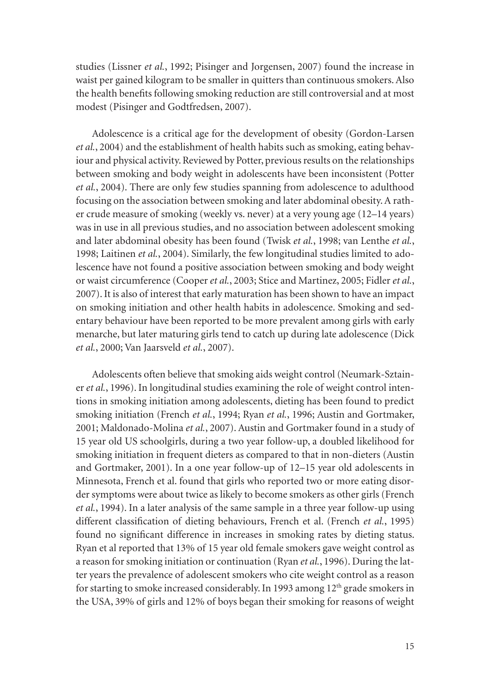studies (Lissner *et al.*, 1992; Pisinger and Jorgensen, 2007) found the increase in waist per gained kilogram to be smaller in quitters than continuous smokers. Also the health benefits following smoking reduction are still controversial and at most modest (Pisinger and Godtfredsen, 2007).

Adolescence is a critical age for the development of obesity (Gordon-Larsen *et al.*, 2004) and the establishment of health habits such as smoking, eating behaviour and physical activity. Reviewed by Potter, previous results on the relationships between smoking and body weight in adolescents have been inconsistent (Potter *et al.*, 2004). There are only few studies spanning from adolescence to adulthood focusing on the association between smoking and later abdominal obesity. A rather crude measure of smoking (weekly vs. never) at a very young age (12–14 years) was in use in all previous studies, and no association between adolescent smoking and later abdominal obesity has been found (Twisk *et al.*, 1998; van Lenthe *et al.*, 1998; Laitinen *et al.*, 2004). Similarly, the few longitudinal studies limited to adolescence have not found a positive association between smoking and body weight or waist circumference (Cooper *et al.*, 2003; Stice and Martinez, 2005; Fidler *et al.*, 2007). It is also of interest that early maturation has been shown to have an impact on smoking initiation and other health habits in adolescence. Smoking and sedentary behaviour have been reported to be more prevalent among girls with early menarche, but later maturing girls tend to catch up during late adolescence (Dick *et al.*, 2000; Van Jaarsveld *et al.*, 2007).

Adolescents often believe that smoking aids weight control (Neumark-Sztainer *et al.*, 1996). In longitudinal studies examining the role of weight control intentions in smoking initiation among adolescents, dieting has been found to predict smoking initiation (French *et al.*, 1994; Ryan *et al.*, 1996; Austin and Gortmaker, 2001; Maldonado-Molina *et al.*, 2007). Austin and Gortmaker found in a study of 15 year old US schoolgirls, during a two year follow-up, a doubled likelihood for smoking initiation in frequent dieters as compared to that in non-dieters (Austin and Gortmaker, 2001). In a one year follow-up of 12–15 year old adolescents in Minnesota, French et al. found that girls who reported two or more eating disorder symptoms were about twice as likely to become smokers as other girls (French *et al.*, 1994). In a later analysis of the same sample in a three year follow-up using different classification of dieting behaviours, French et al. (French et al., 1995) found no significant difference in increases in smoking rates by dieting status. Ryan et al reported that 13% of 15 year old female smokers gave weight control as a reason for smoking initiation or continuation (Ryan *et al.*, 1996). During the latter years the prevalence of adolescent smokers who cite weight control as a reason for starting to smoke increased considerably. In 1993 among 12<sup>th</sup> grade smokers in the USA, 39% of girls and 12% of boys began their smoking for reasons of weight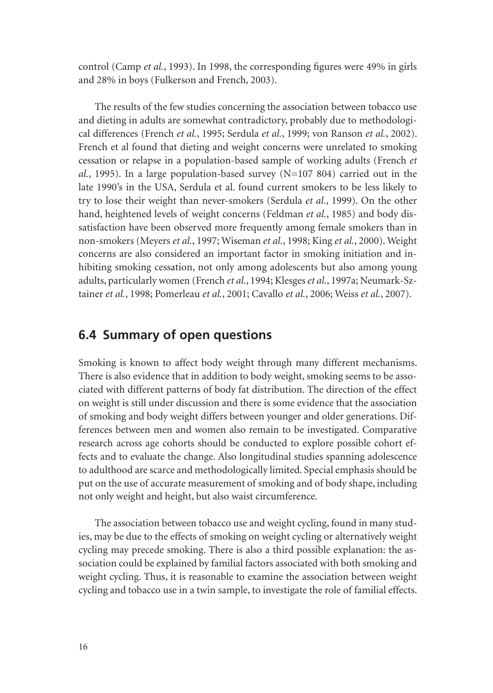control (Camp et al., 1993). In 1998, the corresponding figures were 49% in girls and 28% in boys (Fulkerson and French, 2003).

The results of the few studies concerning the association between tobacco use and dieting in adults are somewhat contradictory, probably due to methodological differences (French *et al.*, 1995; Serdula *et al.*, 1999; von Ranson *et al.*, 2002). French et al found that dieting and weight concerns were unrelated to smoking cessation or relapse in a population-based sample of working adults (French *et al.*, 1995). In a large population-based survey (N=107 804) carried out in the late 1990's in the USA, Serdula et al. found current smokers to be less likely to try to lose their weight than never-smokers (Serdula *et al.*, 1999). On the other hand, heightened levels of weight concerns (Feldman *et al.*, 1985) and body dissatisfaction have been observed more frequently among female smokers than in non-smokers (Meyers *et al.*, 1997; Wiseman *et al.*, 1998; King *et al.*, 2000). Weight concerns are also considered an important factor in smoking initiation and inhibiting smoking cessation, not only among adolescents but also among young adults, particularly women (French *et al.*, 1994; Klesges *et al.*, 1997a; Neumark-Sztainer *et al.*, 1998; Pomerleau *et al.*, 2001; Cavallo *et al.*, 2006; Weiss *et al.*, 2007).

## **6.4 Summary of open questions**

Smoking is known to affect body weight through many different mechanisms. There is also evidence that in addition to body weight, smoking seems to be associated with different patterns of body fat distribution. The direction of the effect on weight is still under discussion and there is some evidence that the association of smoking and body weight differs between younger and older generations. Differences between men and women also remain to be investigated. Comparative research across age cohorts should be conducted to explore possible cohort effects and to evaluate the change. Also longitudinal studies spanning adolescence to adulthood are scarce and methodologically limited. Special emphasis should be put on the use of accurate measurement of smoking and of body shape, including not only weight and height, but also waist circumference.

The association between tobacco use and weight cycling, found in many studies, may be due to the effects of smoking on weight cycling or alternatively weight cycling may precede smoking. There is also a third possible explanation: the association could be explained by familial factors associated with both smoking and weight cycling. Thus, it is reasonable to examine the association between weight cycling and tobacco use in a twin sample, to investigate the role of familial effects.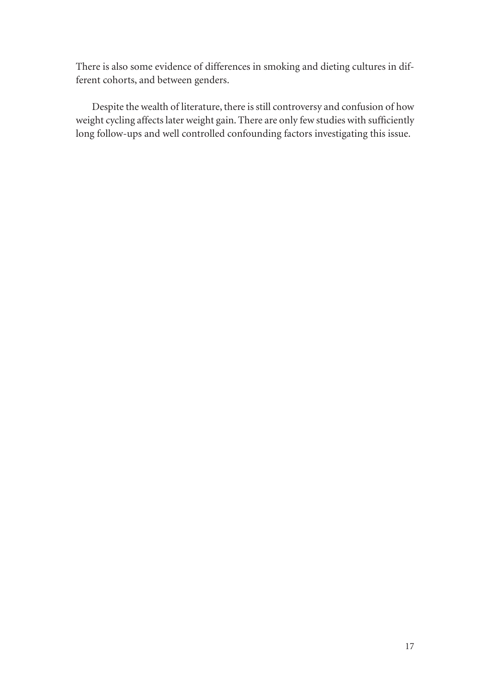There is also some evidence of differences in smoking and dieting cultures in different cohorts, and between genders.

Despite the wealth of literature, there is still controversy and confusion of how weight cycling affects later weight gain. There are only few studies with sufficiently long follow-ups and well controlled confounding factors investigating this issue.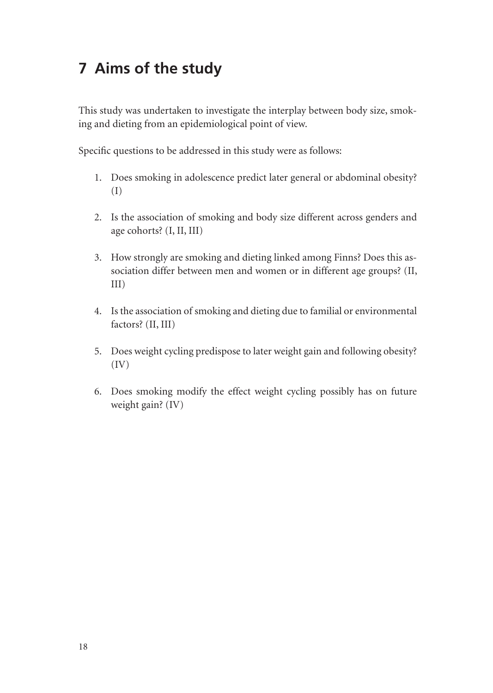# **7 Aims of the study**

This study was undertaken to investigate the interplay between body size, smoking and dieting from an epidemiological point of view.

Specific questions to be addressed in this study were as follows:

- 1. Does smoking in adolescence predict later general or abdominal obesity? (I)
- 2. Is the association of smoking and body size different across genders and age cohorts? (I, II, III)
- 3. How strongly are smoking and dieting linked among Finns? Does this association differ between men and women or in different age groups? (II, III)
- 4. Is the association of smoking and dieting due to familial or environmental factors? (II, III)
- 5. Does weight cycling predispose to later weight gain and following obesity? (IV)
- 6. Does smoking modify the effect weight cycling possibly has on future weight gain? (IV)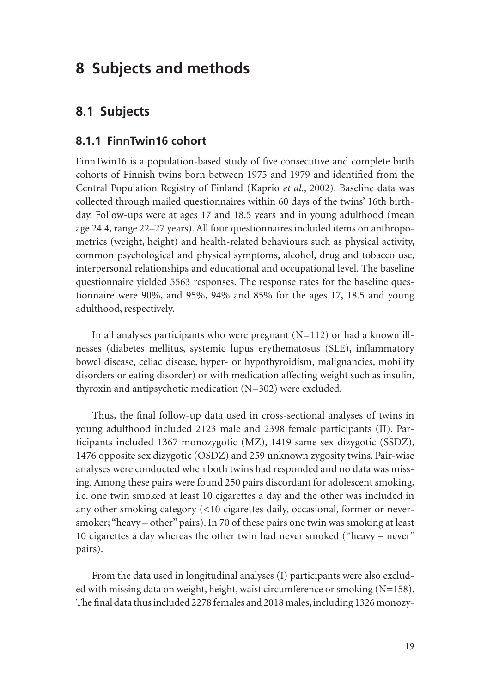# **8 Subjects and methods**

# **8.1 Subjects**

### **8.1.1 FinnTwin16 cohort**

FinnTwin16 is a population-based study of five consecutive and complete birth cohorts of Finnish twins born between 1975 and 1979 and identified from the Central Population Registry of Finland (Kaprio *et al.*, 2002). Baseline data was collected through mailed questionnaires within 60 days of the twins' 16th birthday. Follow-ups were at ages 17 and 18.5 years and in young adulthood (mean age 24.4, range 22–27 years). All four questionnaires included items on anthropometrics (weight, height) and health-related behaviours such as physical activity, common psychological and physical symptoms, alcohol, drug and tobacco use, interpersonal relationships and educational and occupational level. The baseline questionnaire yielded 5563 responses. The response rates for the baseline questionnaire were 90%, and 95%, 94% and 85% for the ages 17, 18.5 and young adulthood, respectively.

In all analyses participants who were pregnant  $(N=112)$  or had a known illnesses (diabetes mellitus, systemic lupus erythematosus (SLE), inflammatory bowel disease, celiac disease, hyper- or hypothyroidism, malignancies, mobility disorders or eating disorder) or with medication affecting weight such as insulin, thyroxin and antipsychotic medication (N=302) were excluded.

Thus, the final follow-up data used in cross-sectional analyses of twins in young adulthood included 2123 male and 2398 female participants (II). Participants included 1367 monozygotic (MZ), 1419 same sex dizygotic (SSDZ), 1476 opposite sex dizygotic (OSDZ) and 259 unknown zygosity twins. Pair-wise analyses were conducted when both twins had responded and no data was missing. Among these pairs were found 250 pairs discordant for adolescent smoking, i.e. one twin smoked at least 10 cigarettes a day and the other was included in any other smoking category (<10 cigarettes daily, occasional, former or neversmoker; "heavy – other" pairs). In 70 of these pairs one twin was smoking at least 10 cigarettes a day whereas the other twin had never smoked ("heavy – never" pairs).

From the data used in longitudinal analyses (I) participants were also excluded with missing data on weight, height, waist circumference or smoking (N=158). The final data thus included 2278 females and 2018 males, including 1326 monozy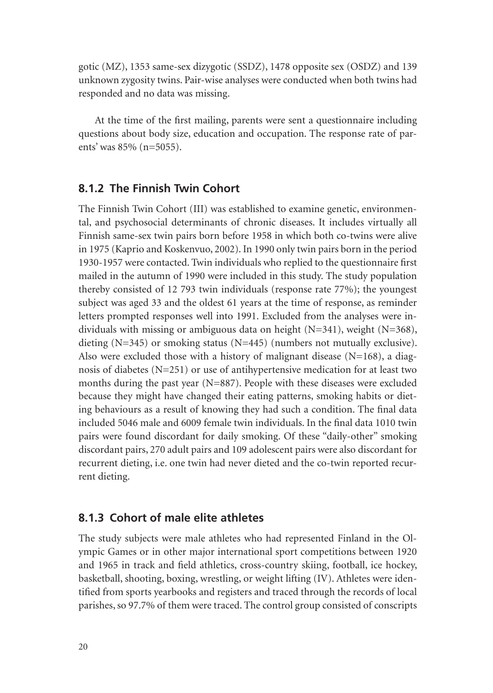gotic (MZ), 1353 same-sex dizygotic (SSDZ), 1478 opposite sex (OSDZ) and 139 unknown zygosity twins. Pair-wise analyses were conducted when both twins had responded and no data was missing.

At the time of the first mailing, parents were sent a questionnaire including questions about body size, education and occupation. The response rate of parents' was 85% (n=5055).

### **8.1.2 The Finnish Twin Cohort**

The Finnish Twin Cohort (III) was established to examine genetic, environmental, and psychosocial determinants of chronic diseases. It includes virtually all Finnish same-sex twin pairs born before 1958 in which both co-twins were alive in 1975 (Kaprio and Koskenvuo, 2002). In 1990 only twin pairs born in the period 1930-1957 were contacted. Twin individuals who replied to the questionnaire first mailed in the autumn of 1990 were included in this study. The study population thereby consisted of 12 793 twin individuals (response rate 77%); the youngest subject was aged 33 and the oldest 61 years at the time of response, as reminder letters prompted responses well into 1991. Excluded from the analyses were individuals with missing or ambiguous data on height (N=341), weight (N=368), dieting (N=345) or smoking status (N=445) (numbers not mutually exclusive). Also were excluded those with a history of malignant disease  $(N=168)$ , a diagnosis of diabetes (N=251) or use of antihypertensive medication for at least two months during the past year (N=887). People with these diseases were excluded because they might have changed their eating patterns, smoking habits or dieting behaviours as a result of knowing they had such a condition. The final data included 5046 male and 6009 female twin individuals. In the final data 1010 twin pairs were found discordant for daily smoking. Of these "daily-other" smoking discordant pairs, 270 adult pairs and 109 adolescent pairs were also discordant for recurrent dieting, i.e. one twin had never dieted and the co-twin reported recurrent dieting.

### **8.1.3 Cohort of male elite athletes**

The study subjects were male athletes who had represented Finland in the Olympic Games or in other major international sport competitions between 1920 and 1965 in track and field athletics, cross-country skiing, football, ice hockey, basketball, shooting, boxing, wrestling, or weight lifting (IV). Athletes were identified from sports yearbooks and registers and traced through the records of local parishes, so 97.7% of them were traced. The control group consisted of conscripts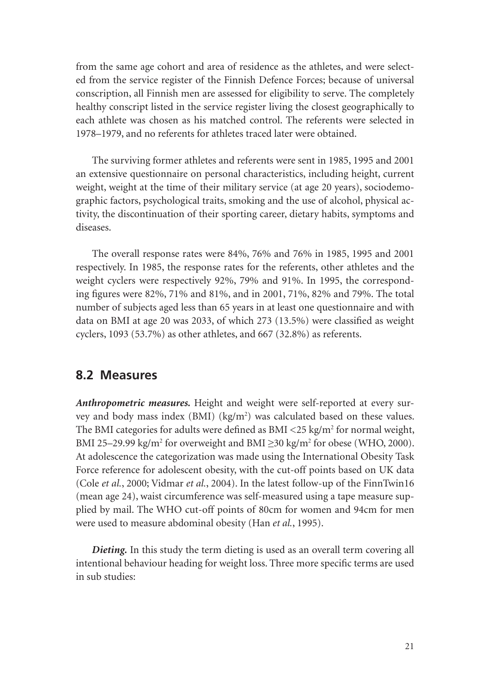from the same age cohort and area of residence as the athletes, and were selected from the service register of the Finnish Defence Forces; because of universal conscription, all Finnish men are assessed for eligibility to serve. The completely healthy conscript listed in the service register living the closest geographically to each athlete was chosen as his matched control. The referents were selected in 1978–1979, and no referents for athletes traced later were obtained.

The surviving former athletes and referents were sent in 1985, 1995 and 2001 an extensive questionnaire on personal characteristics, including height, current weight, weight at the time of their military service (at age 20 years), sociodemographic factors, psychological traits, smoking and the use of alcohol, physical activity, the discontinuation of their sporting career, dietary habits, symptoms and diseases.

The overall response rates were 84%, 76% and 76% in 1985, 1995 and 2001 respectively. In 1985, the response rates for the referents, other athletes and the weight cyclers were respectively 92%, 79% and 91%. In 1995, the corresponding figures were 82%, 71% and 81%, and in 2001, 71%, 82% and 79%. The total number of subjects aged less than 65 years in at least one questionnaire and with data on BMI at age 20 was 2033, of which  $273$  (13.5%) were classified as weight cyclers, 1093 (53.7%) as other athletes, and 667 (32.8%) as referents.

### **8.2 Measures**

*Anthropometric measures.* Height and weight were self-reported at every survey and body mass index (BMI) (kg/m<sup>2</sup>) was calculated based on these values. The BMI categories for adults were defined as BMI  $\langle 25 \text{ kg/m}^2 \text{ for normal weight,} \rangle$ BMI 25–29.99 kg/m<sup>2</sup> for overweight and BMI  $\geq$ 30 kg/m<sup>2</sup> for obese (WHO, 2000). At adolescence the categorization was made using the International Obesity Task Force reference for adolescent obesity, with the cut-off points based on UK data (Cole *et al.*, 2000; Vidmar *et al.*, 2004). In the latest follow-up of the FinnTwin16 (mean age 24), waist circumference was self-measured using a tape measure supplied by mail. The WHO cut-off points of 80cm for women and 94cm for men were used to measure abdominal obesity (Han *et al.*, 1995).

*Dieting.* In this study the term dieting is used as an overall term covering all intentional behaviour heading for weight loss. Three more specific terms are used in sub studies: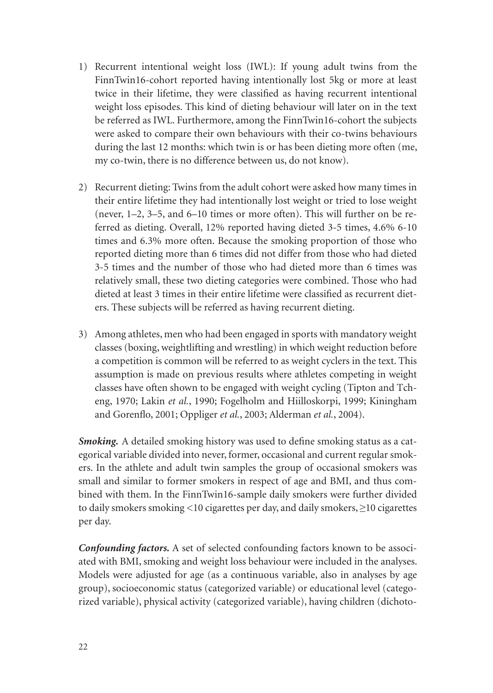- 1) Recurrent intentional weight loss (IWL): If young adult twins from the FinnTwin16-cohort reported having intentionally lost 5kg or more at least twice in their lifetime, they were classified as having recurrent intentional weight loss episodes. This kind of dieting behaviour will later on in the text be referred as IWL. Furthermore, among the FinnTwin16-cohort the subjects were asked to compare their own behaviours with their co-twins behaviours during the last 12 months: which twin is or has been dieting more often (me, my co-twin, there is no difference between us, do not know).
- 2) Recurrent dieting: Twins from the adult cohort were asked how many times in their entire lifetime they had intentionally lost weight or tried to lose weight (never, 1–2, 3–5, and 6–10 times or more often). This will further on be referred as dieting. Overall, 12% reported having dieted 3-5 times, 4.6% 6-10 times and 6.3% more often. Because the smoking proportion of those who reported dieting more than 6 times did not differ from those who had dieted 3-5 times and the number of those who had dieted more than 6 times was relatively small, these two dieting categories were combined. Those who had dieted at least 3 times in their entire lifetime were classified as recurrent dieters. These subjects will be referred as having recurrent dieting.
- 3) Among athletes, men who had been engaged in sports with mandatory weight classes (boxing, weightlifting and wrestling) in which weight reduction before a competition is common will be referred to as weight cyclers in the text. This assumption is made on previous results where athletes competing in weight classes have often shown to be engaged with weight cycling (Tipton and Tcheng, 1970; Lakin *et al.*, 1990; Fogelholm and Hiilloskorpi, 1999; Kiningham and Gorenflo, 2001; Oppliger et al., 2003; Alderman et al., 2004).

*Smoking*. A detailed smoking history was used to define smoking status as a categorical variable divided into never, former, occasional and current regular smokers. In the athlete and adult twin samples the group of occasional smokers was small and similar to former smokers in respect of age and BMI, and thus combined with them. In the FinnTwin16-sample daily smokers were further divided to daily smokers smoking <10 cigarettes per day, and daily smokers, ≥10 cigarettes per day.

*Confounding factors.* A set of selected confounding factors known to be associated with BMI, smoking and weight loss behaviour were included in the analyses. Models were adjusted for age (as a continuous variable, also in analyses by age group), socioeconomic status (categorized variable) or educational level (categorized variable), physical activity (categorized variable), having children (dichoto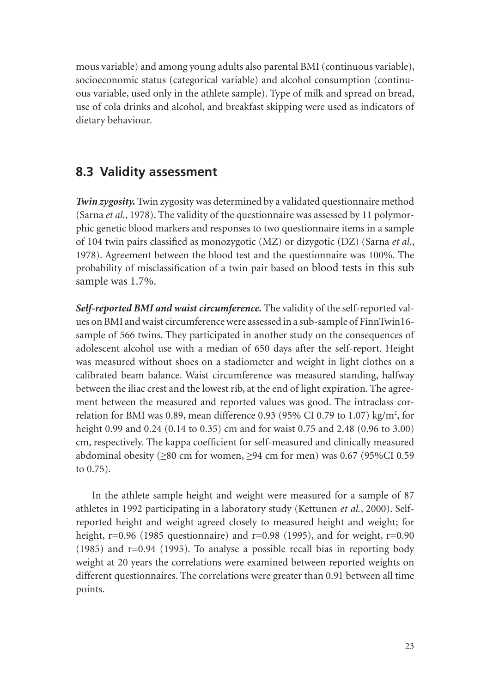mous variable) and among young adults also parental BMI (continuous variable), socioeconomic status (categorical variable) and alcohol consumption (continuous variable, used only in the athlete sample). Type of milk and spread on bread, use of cola drinks and alcohol, and breakfast skipping were used as indicators of dietary behaviour.

### **8.3 Validity assessment**

*Twin zygosity.* Twin zygosity was determined by a validated questionnaire method (Sarna *et al.*, 1978). The validity of the questionnaire was assessed by 11 polymorphic genetic blood markers and responses to two questionnaire items in a sample of 104 twin pairs classified as monozygotic (MZ) or dizygotic (DZ) (Sarna *et al.*, 1978). Agreement between the blood test and the questionnaire was 100%. The probability of misclassification of a twin pair based on blood tests in this sub sample was 1.7%.

*Self-reported BMI and waist circumference.* The validity of the self-reported values on BMI and waist circumference were assessed in a sub-sample of FinnTwin16 sample of 566 twins. They participated in another study on the consequences of adolescent alcohol use with a median of 650 days after the self-report. Height was measured without shoes on a stadiometer and weight in light clothes on a calibrated beam balance. Waist circumference was measured standing, halfway between the iliac crest and the lowest rib, at the end of light expiration. The agreement between the measured and reported values was good. The intraclass correlation for BMI was 0.89, mean difference 0.93 (95% CI 0.79 to 1.07) kg/m<sup>2</sup>, for height 0.99 and 0.24 (0.14 to 0.35) cm and for waist 0.75 and 2.48 (0.96 to 3.00) cm, respectively. The kappa coefficient for self-measured and clinically measured abdominal obesity ( $\geq 80$  cm for women,  $\geq 94$  cm for men) was 0.67 (95%CI 0.59 to 0.75).

In the athlete sample height and weight were measured for a sample of 87 athletes in 1992 participating in a laboratory study (Kettunen *et al.*, 2000). Selfreported height and weight agreed closely to measured height and weight; for height, r=0.96 (1985 questionnaire) and r=0.98 (1995), and for weight, r=0.90 (1985) and r=0.94 (1995). To analyse a possible recall bias in reporting body weight at 20 years the correlations were examined between reported weights on different questionnaires. The correlations were greater than 0.91 between all time points.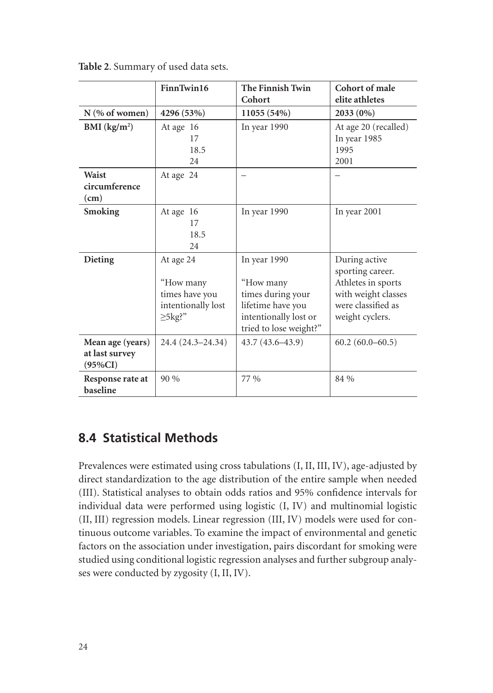|                                                  | FinnTwin16                                                                         | The Finnish Twin<br>Cohort                                                                                             | Cohort of male<br>elite athletes                                                                                        |
|--------------------------------------------------|------------------------------------------------------------------------------------|------------------------------------------------------------------------------------------------------------------------|-------------------------------------------------------------------------------------------------------------------------|
| N (% of women)                                   | 4296 (53%)                                                                         | 11055 (54%)                                                                                                            | 2033 (0%)                                                                                                               |
| BMI $(kg/m2)$                                    | At age 16<br>17<br>18.5<br>24                                                      | In year 1990                                                                                                           | At age 20 (recalled)<br>In year 1985<br>1995<br>2001                                                                    |
| Waist<br>circumference<br>(cm)                   | At age 24                                                                          |                                                                                                                        |                                                                                                                         |
| <b>Smoking</b>                                   | At age 16<br>17<br>18.5<br>24                                                      | In year 1990                                                                                                           | In year 2001                                                                                                            |
| Dieting                                          | At age 24<br>"How many<br>times have you<br>intentionally lost<br>$\geq$ 5 $kg$ ?" | In year 1990<br>"How many<br>times during your<br>lifetime have you<br>intentionally lost or<br>tried to lose weight?" | During active<br>sporting career.<br>Athletes in sports<br>with weight classes<br>were classified as<br>weight cyclers. |
| Mean age (years)<br>at last survey<br>$(95\%CI)$ | 24.4 (24.3–24.34)                                                                  | $43.7(43.6 - 43.9)$                                                                                                    | $60.2(60.0-60.5)$                                                                                                       |
| Response rate at<br>baseline                     | 90%                                                                                | 77 %                                                                                                                   | 84 %                                                                                                                    |

**Table 2**. Summary of used data sets.

## **8.4 Statistical Methods**

Prevalences were estimated using cross tabulations (I, II, III, IV), age-adjusted by direct standardization to the age distribution of the entire sample when needed (III). Statistical analyses to obtain odds ratios and 95% confidence intervals for individual data were performed using logistic (I, IV) and multinomial logistic (II, III) regression models. Linear regression (III, IV) models were used for continuous outcome variables. To examine the impact of environmental and genetic factors on the association under investigation, pairs discordant for smoking were studied using conditional logistic regression analyses and further subgroup analyses were conducted by zygosity (I, II, IV).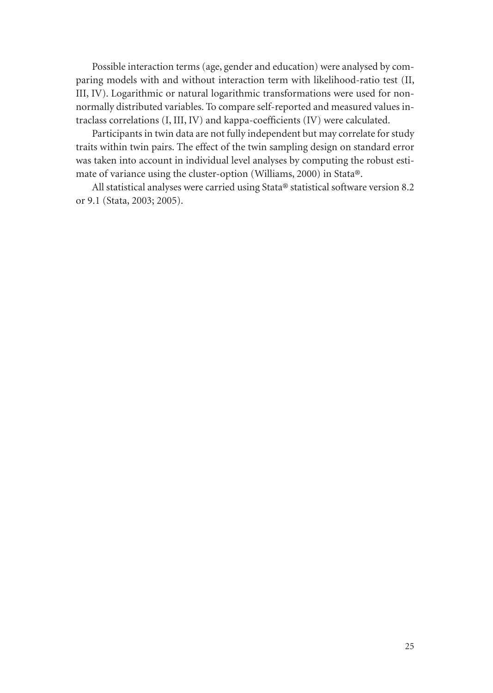Possible interaction terms (age, gender and education) were analysed by comparing models with and without interaction term with likelihood-ratio test (II, III, IV). Logarithmic or natural logarithmic transformations were used for nonnormally distributed variables. To compare self-reported and measured values intraclass correlations (I, III, IV) and kappa-coefficients (IV) were calculated.

Participants in twin data are not fully independent but may correlate for study traits within twin pairs. The effect of the twin sampling design on standard error was taken into account in individual level analyses by computing the robust estimate of variance using the cluster-option (Williams, 2000) in Stata®.

All statistical analyses were carried using Stata® statistical software version 8.2 or 9.1 (Stata, 2003; 2005).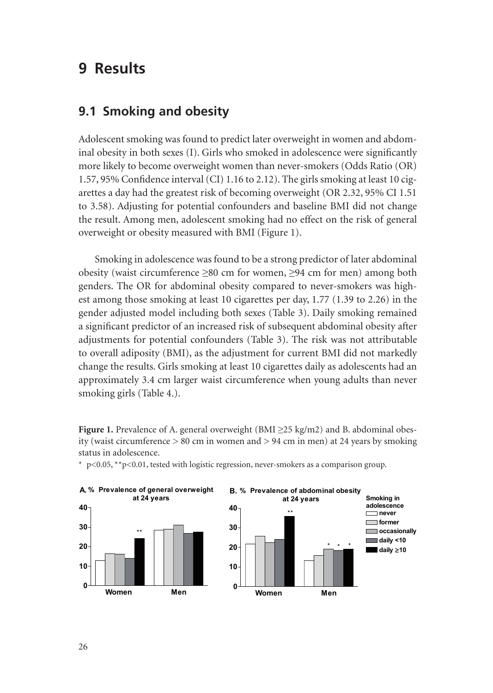# **9 Results**

### **9.1 Smoking and obesity**

Adolescent smoking was found to predict later overweight in women and abdominal obesity in both sexes (I). Girls who smoked in adolescence were significantly more likely to become overweight women than never-smokers (Odds Ratio (OR) 1.57, 95% Confidence interval (CI) 1.16 to 2.12). The girls smoking at least 10 cigarettes a day had the greatest risk of becoming overweight (OR 2.32, 95% CI 1.51 to 3.58). Adjusting for potential confounders and baseline BMI did not change the result. Among men, adolescent smoking had no effect on the risk of general overweight or obesity measured with BMI (Figure 1).

Smoking in adolescence was found to be a strong predictor of later abdominal obesity (waist circumference ≥80 cm for women, ≥94 cm for men) among both genders. The OR for abdominal obesity compared to never-smokers was highest among those smoking at least 10 cigarettes per day, 1.77 (1.39 to 2.26) in the gender adjusted model including both sexes (Table 3). Daily smoking remained a significant predictor of an increased risk of subsequent abdominal obesity after adjustments for potential confounders (Table 3). The risk was not attributable to overall adiposity (BMI), as the adjustment for current BMI did not markedly change the results. Girls smoking at least 10 cigarettes daily as adolescents had an approximately 3.4 cm larger waist circumference when young adults than never smoking girls (Table 4.).

**Figure 1.** Prevalence of A. general overweight (BMI ≥25 kg/m2) and B. abdominal obesity (waist circumference > 80 cm in women and > 94 cm in men) at 24 years by smoking status in adolescence.



\* p<0.05, \*\*p<0.01, tested with logistic regression, never-smokers as a comparison group.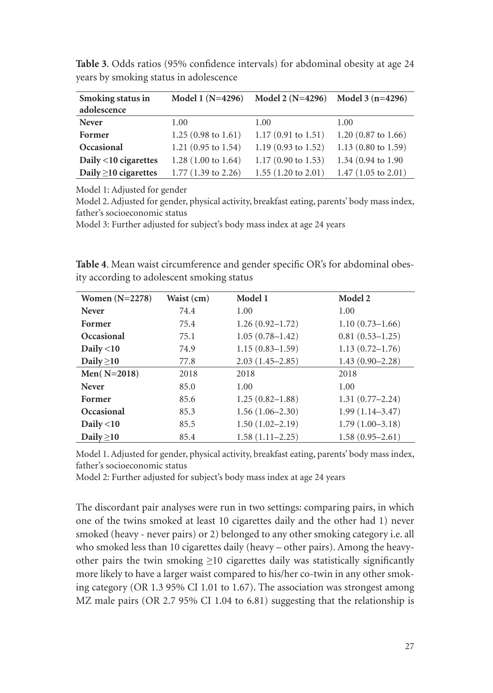| Smoking status in          | Model $1(N=4296)$              | Model $2(N=4296)$              | Model $3(n=4296)$              |
|----------------------------|--------------------------------|--------------------------------|--------------------------------|
| adolescence                |                                |                                |                                |
| <b>Never</b>               | 1.00                           | 1.00                           | 1.00                           |
| Former                     | $1.25(0.98 \text{ to } 1.61)$  | $1.17(0.91 \text{ to } 1.51)$  | 1.20 $(0.87 \text{ to } 1.66)$ |
| Occasional                 | 1.21 $(0.95 \text{ to } 1.54)$ | 1.19 $(0.93 \text{ to } 1.52)$ | 1.13 $(0.80 \text{ to } 1.59)$ |
| Daily <10 cigarettes       | $1.28(1.00 \text{ to } 1.64)$  | $1.17(0.90 \text{ to } 1.53)$  | 1.34 (0.94 to 1.90)            |
| Daily $\geq$ 10 cigarettes | $1.77(1.39 \text{ to } 2.26)$  | $1.55(1.20 \text{ to } 2.01)$  | $1.47(1.05 \text{ to } 2.01)$  |

Table 3. Odds ratios (95% confidence intervals) for abdominal obesity at age 24 years by smoking status in adolescence

Model 1: Adjusted for gender

Model 2. Adjusted for gender, physical activity, breakfast eating, parents' body mass index, father's socioeconomic status

Model 3: Further adjusted for subject's body mass index at age 24 years

Table 4. Mean waist circumference and gender specific OR's for abdominal obesity according to adolescent smoking status

| Women $(N=2278)$ | Waist (cm) | Model 1             | Model 2             |
|------------------|------------|---------------------|---------------------|
| <b>Never</b>     | 74.4       | 1.00                | 1.00                |
| Former           | 75.4       | $1.26(0.92 - 1.72)$ | $1.10(0.73 - 1.66)$ |
| Occasional       | 75.1       | $1.05(0.78 - 1.42)$ | $0.81(0.53 - 1.25)$ |
| Daily $<$ 10     | 74.9       | $1.15(0.83 - 1.59)$ | $1.13(0.72 - 1.76)$ |
| Daily $\geq$ 10  | 77.8       | $2.03(1.45-2.85)$   | $1.43(0.90 - 2.28)$ |
| Men $(N=2018)$   | 2018       | 2018                | 2018                |
| <b>Never</b>     | 85.0       | 1.00                | 1.00                |
| Former           | 85.6       | $1.25(0.82 - 1.88)$ | $1.31(0.77 - 2.24)$ |
| Occasional       | 85.3       | $1.56(1.06-2.30)$   | $1.99(1.14 - 3.47)$ |
| Daily $<$ 10     | 85.5       | $1.50(1.02 - 2.19)$ | $1.79(1.00-3.18)$   |
| Daily $\geq$ 10  | 85.4       | $1.58(1.11 - 2.25)$ | $1.58(0.95 - 2.61)$ |

Model 1. Adjusted for gender, physical activity, breakfast eating, parents' body mass index, father's socioeconomic status

Model 2: Further adjusted for subject's body mass index at age 24 years

The discordant pair analyses were run in two settings: comparing pairs, in which one of the twins smoked at least 10 cigarettes daily and the other had 1) never smoked (heavy - never pairs) or 2) belonged to any other smoking category i.e. all who smoked less than 10 cigarettes daily (heavy – other pairs). Among the heavyother pairs the twin smoking  $\geq$ 10 cigarettes daily was statistically significantly more likely to have a larger waist compared to his/her co-twin in any other smoking category (OR 1.3 95% CI 1.01 to 1.67). The association was strongest among MZ male pairs (OR 2.7 95% CI 1.04 to 6.81) suggesting that the relationship is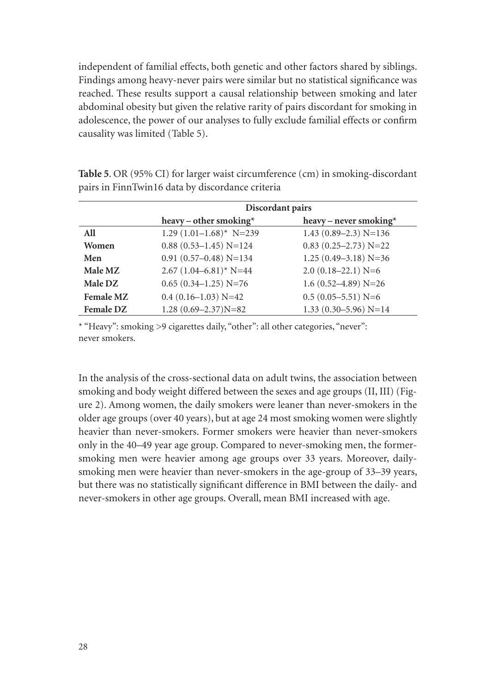independent of familial effects, both genetic and other factors shared by siblings. Findings among heavy-never pairs were similar but no statistical significance was reached. These results support a causal relationship between smoking and later abdominal obesity but given the relative rarity of pairs discordant for smoking in adolescence, the power of our analyses to fully exclude familial effects or confirm causality was limited (Table 5).

|                  | Discordant pairs           |                           |
|------------------|----------------------------|---------------------------|
|                  | heavy – other smoking*     | heavy – never smoking*    |
| All              | $1.29(1.01-1.68)^*$ N=239  | $1.43(0.89-2.3)$ N=136    |
| Women            | $0.88(0.53 - 1.45)$ N=124  | $0.83$ $(0.25-2.73)$ N=22 |
| Men              | $0.91(0.57-0.48)$ N=134    | $1.25(0.49-3.18)$ N=36    |
| Male MZ          | $2.67(1.04 - 6.81)^*$ N=44 | $2.0(0.18-22.1)$ N=6      |
| Male DZ          | $0.65(0.34-1.25)$ N=76     | $1.6(0.52 - 4.89)$ N=26   |
| <b>Female MZ</b> | $0.4(0.16-1.03)$ N=42      | $0.5(0.05-5.51)$ N=6      |
| <b>Female DZ</b> | $1.28(0.69 - 2.37)N = 82$  | $1.33(0.30 - 5.96)$ N=14  |

**Table 5**. OR (95% CI) for larger waist circumference (cm) in smoking-discordant pairs in FinnTwin16 data by discordance criteria

\* "Heavy": smoking >9 cigarettes daily, "other": all other categories, "never": never smokers.

In the analysis of the cross-sectional data on adult twins, the association between smoking and body weight differed between the sexes and age groups (II, III) (Figure 2). Among women, the daily smokers were leaner than never-smokers in the older age groups (over 40 years), but at age 24 most smoking women were slightly heavier than never-smokers. Former smokers were heavier than never-smokers only in the 40–49 year age group. Compared to never-smoking men, the formersmoking men were heavier among age groups over 33 years. Moreover, dailysmoking men were heavier than never-smokers in the age-group of 33–39 years, but there was no statistically significant difference in BMI between the daily- and never-smokers in other age groups. Overall, mean BMI increased with age.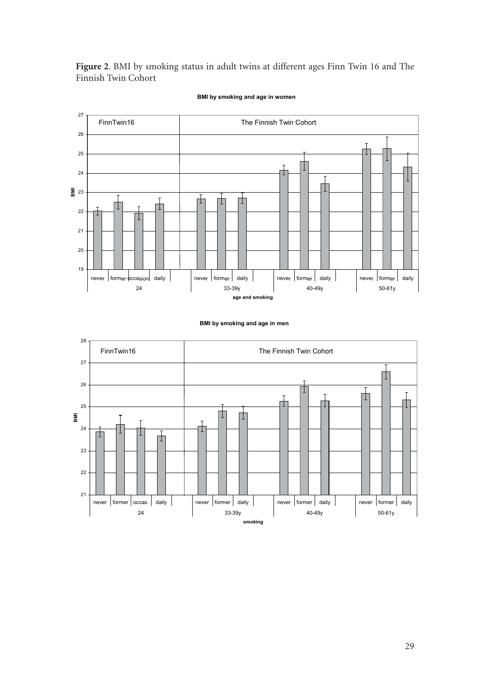**Figure 2**. BMI by smoking status in adult twins at different ages Finn Twin 16 and The Finnish Twin Cohort



**BMI by smoking and age in women**

#### **BMI by smoking and age in men**

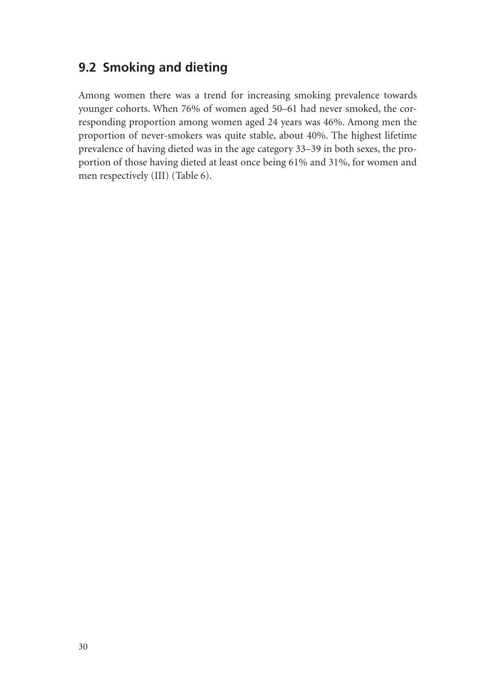# **9.2 Smoking and dieting**

Among women there was a trend for increasing smoking prevalence towards younger cohorts. When 76% of women aged 50–61 had never smoked, the corresponding proportion among women aged 24 years was 46%. Among men the proportion of never-smokers was quite stable, about 40%. The highest lifetime prevalence of having dieted was in the age category 33–39 in both sexes, the proportion of those having dieted at least once being 61% and 31%, for women and men respectively (III) (Table 6).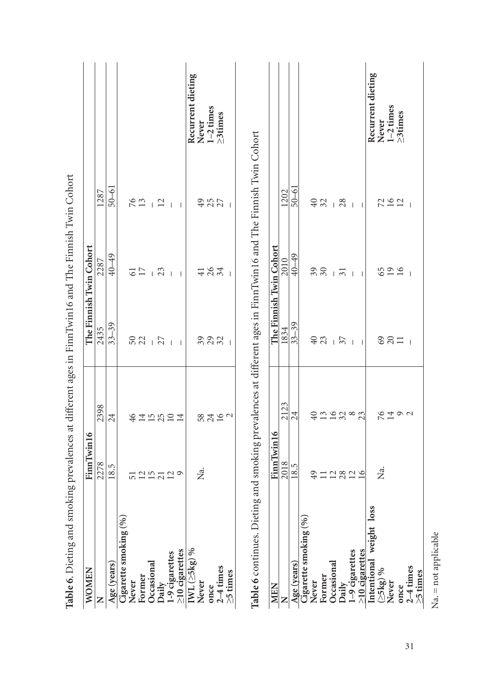| Table 6. Dieting and smoking     |            | prevalences at different ages in FinnTwin16 and The Finnish Twin Cohort |                          |                          |                          |                              |
|----------------------------------|------------|-------------------------------------------------------------------------|--------------------------|--------------------------|--------------------------|------------------------------|
| <b>WOMEN</b>                     | FinnTwin16 |                                                                         |                          | The Finnish Twin Cohort  |                          |                              |
| Z                                | 2278       | 2398                                                                    | 2435                     | 2287                     | 1287                     |                              |
| Age (years)                      | 18.5       | 24                                                                      | $33 - 39$                | 40-49                    | $50 - 61$                |                              |
| Cigarette smoking (%)            |            |                                                                         |                          |                          |                          |                              |
| Never                            |            | 46                                                                      |                          |                          |                          |                              |
| Former                           | 525529     | 11221                                                                   | 50                       | $\frac{1}{2}$            | $76$<br>13               |                              |
| Occasional                       |            |                                                                         |                          | $\mathbf{I}$             | $\overline{\phantom{a}}$ |                              |
| Daily<br>1-9 cigarettes          |            |                                                                         | $\frac{1}{27}$           | 23                       | 12                       |                              |
|                                  |            |                                                                         | $\overline{1}$           | $\mathbf{I}$             | $\perp$                  |                              |
| $\geq$ 10 cigarettes             |            |                                                                         | $\overline{1}$           | $\overline{1}$           | $\overline{1}$           |                              |
| $\overline{\text{IVL}}$ (25kg) % |            |                                                                         |                          |                          |                          | Recurrent dieting            |
| Never                            | Ż.         |                                                                         |                          |                          | $\overline{6}$           | Never                        |
| once                             |            |                                                                         | ೫೫೫                      | 482                      | 25                       | $1-2$ times                  |
| $2-4$ times                      |            | 52162<br>52162                                                          |                          |                          |                          | $\geq$ 3 times               |
| $\geq$ 5 times                   |            |                                                                         | $\mathbf{I}$             | $\overline{1}$           | $\overline{1}$           |                              |
|                                  |            |                                                                         |                          |                          |                          |                              |
| <b>MEN</b>                       | FinnTwin16 |                                                                         |                          | The Finnish Twin Cohort  |                          |                              |
|                                  | 2018       | 2123                                                                    | 1834                     | 2010                     | 1202                     |                              |
| Age (years                       | 18.5       | 24                                                                      | $33 - 39$                | $66 - 149$               | $50 - 61$                |                              |
| Cigarette smoking (%)<br>Never   |            |                                                                         |                          |                          |                          |                              |
|                                  | 49         | 40                                                                      | 40                       | 39                       | 40                       |                              |
| Former                           | 1128219    | 192282                                                                  | 23                       | $\delta$ 0               | 32                       |                              |
| Occasional                       |            |                                                                         | $-57$                    | $\mathbf{I}$             | $\mathbf{I}$             |                              |
| Daily                            |            |                                                                         |                          | $\overline{31}$          | 28                       |                              |
| 1-9 cigarettes                   |            |                                                                         | $\overline{1}$           | $\overline{1}$           | $\overline{1}$           |                              |
| 210 cigarettes                   |            |                                                                         | $\overline{\phantom{a}}$ | $\overline{\phantom{a}}$ | $\overline{\phantom{a}}$ |                              |
| Intentional weight loss          |            |                                                                         |                          |                          |                          | Recurrent dieting            |
| $(25kg)$ %                       | Ż.         |                                                                         |                          |                          |                          | Never                        |
| Never<br>once                    |            | 7492                                                                    | 881                      | 6916                     | 7202                     | $1-2$ times<br>$\geq$ 3times |
| $2-4$ times                      |            |                                                                         | $\overline{\phantom{a}}$ | $\overline{\phantom{a}}$ | $\overline{\phantom{a}}$ |                              |
| $\geq$ 5 times                   |            |                                                                         |                          |                          |                          |                              |

 $\mathrm{Na}$  = not applicable Na. = not applicable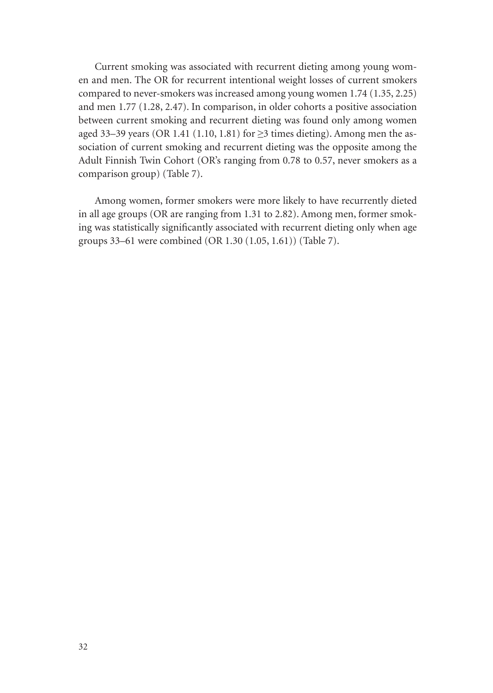Current smoking was associated with recurrent dieting among young women and men. The OR for recurrent intentional weight losses of current smokers compared to never-smokers was increased among young women 1.74 (1.35, 2.25) and men 1.77 (1.28, 2.47). In comparison, in older cohorts a positive association between current smoking and recurrent dieting was found only among women aged 33–39 years (OR 1.41 (1.10, 1.81) for  $\geq$ 3 times dieting). Among men the association of current smoking and recurrent dieting was the opposite among the Adult Finnish Twin Cohort (OR's ranging from 0.78 to 0.57, never smokers as a comparison group) (Table 7).

Among women, former smokers were more likely to have recurrently dieted in all age groups (OR are ranging from 1.31 to 2.82). Among men, former smoking was statistically significantly associated with recurrent dieting only when age groups 33–61 were combined (OR 1.30 (1.05, 1.61)) (Table 7).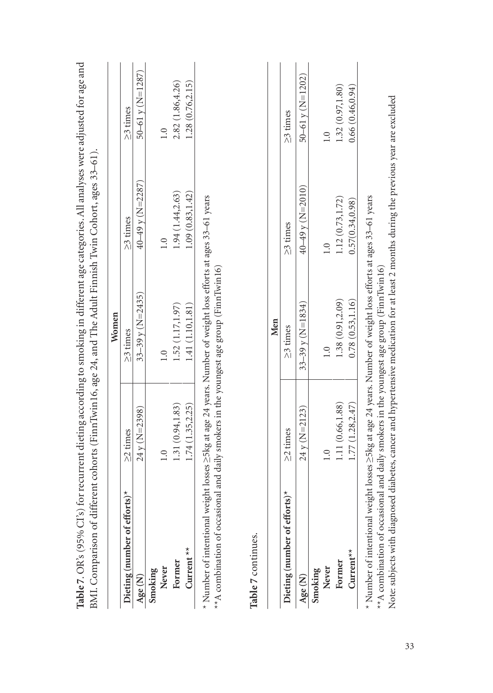| Table 7. OR's (95% Cl's) for recurrent dieting according to smoking in different age categories. All analyses were adjusted for age and<br>BMI. Comparison of different cohorts (FinnTwin16, age 24, and The Adult Finnish Twin Cohort, ages 33-61). |                   |                                                          |                        |                  |
|------------------------------------------------------------------------------------------------------------------------------------------------------------------------------------------------------------------------------------------------------|-------------------|----------------------------------------------------------|------------------------|------------------|
|                                                                                                                                                                                                                                                      |                   | Women                                                    |                        |                  |
| Dieting (number of efforts)*                                                                                                                                                                                                                         | $\geq$ 2 times    | $\geq$ 3 times                                           | $\geq$ 3 times         | $\geq$ 3 times   |
| Age $(N)$                                                                                                                                                                                                                                            | $24$ y (N=2398)   | $33-39$ y (N=2435)                                       | $40-49$ y (N=2287)     | 50–61 v (N=1287) |
| Smoking                                                                                                                                                                                                                                              |                   |                                                          |                        |                  |
| Never                                                                                                                                                                                                                                                | 1.0               | $\overline{1.0}$                                         | $\overline{1.0}$       | 1.0              |
| Former                                                                                                                                                                                                                                               | 1.31(0.94, 1.83)  | 1.52 (1.17, 1.97)                                        | 1.94 (1.44,2.63)       | 2.82 (1.86,4.26) |
| Current <sup>**</sup>                                                                                                                                                                                                                                | 1.74(1.35, 2.25)  | 1.41 (1.10,1.81)                                         | 1.09(0.83, 1.42)       | 1.28 (0.76,2.15) |
| * Number of intentional weight losses >5kg at age 24 years. Number of weight loss efforts at ages 33–61 years<br>**A combination of occasional                                                                                                       |                   | and daily smokers in the youngest age group (FinnTwin16) |                        |                  |
| Table 7 continues.                                                                                                                                                                                                                                   |                   |                                                          |                        |                  |
|                                                                                                                                                                                                                                                      |                   | Men                                                      |                        |                  |
| Dieting (number of efforts) $^{\star}$                                                                                                                                                                                                               | $\geq$ times      | $\geq$ 3 times                                           | $\geq$ 3 times         | $\geq$ 3 times   |
| Age (N)                                                                                                                                                                                                                                              | $24y (N=2123)$    | $33-39$ y (N=1834)                                       | $(0102$ =N) y (N=2010) | 50-61 y (N=1202) |
| Never<br>Smoking                                                                                                                                                                                                                                     | 1.0               | 1.0                                                      | 1.0                    | 1.0              |
| Former                                                                                                                                                                                                                                               | 1.11 (0.66, 1.88) | 1.38(0.91, 2.09)                                         | 1.12(0.73, 1.72)       | 1.32(0.97, 1.80) |

\* Number of intentional weight losses ≥5kg at age 24 years. Number of weight loss efforts at ages 33–61 years \* Number of intentional weight losses ≥5kg at age 24 years. Number of weight loss efforts at ages 33–61 years

**Current\*\*** 1.77 (1.28,2.47) 0.78 (0.53,1.16) 0.57 (0.34,0.98) 0.66 (0.46,0.94)

 $1.77(1.28, 2.47)$ 

Current<sup>\*\*</sup>

 $0.78(0.53, 1.16)$ 

 $0.66(0.46, 0.94)$ 

 $0.57(0.34, 0.98)$ 

 $^{\star\star}$  A combination of occasional and daily smokers in the youngest age group (FinnTwin16) \*\*A combination of occasional and daily smokers in the youngest age group (FinnTwin16)

Note: subjects with diagnosed diabetes, cancer and hypertensive medication for at least 2 months during the previous year are excluded Note: subjects with diagnosed diabetes, cancer and hypertensive medication for at least 2 months during the previous year are excluded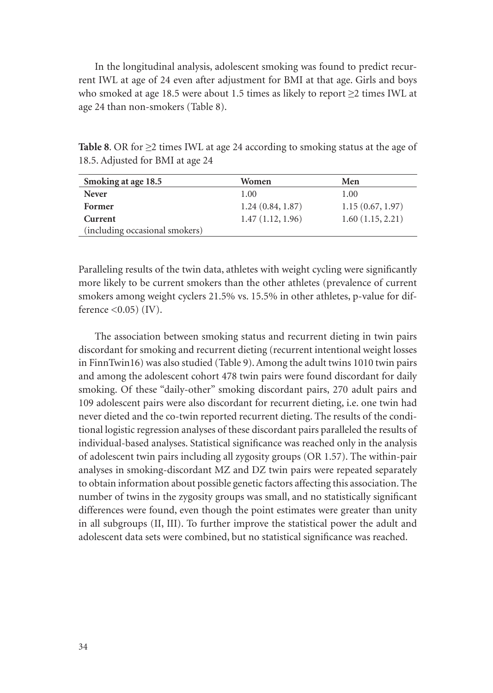In the longitudinal analysis, adolescent smoking was found to predict recurrent IWL at age of 24 even after adjustment for BMI at that age. Girls and boys who smoked at age 18.5 were about 1.5 times as likely to report  $\geq$  2 times IWL at age 24 than non-smokers (Table 8).

**Table 8**. OR for ≥2 times IWL at age 24 according to smoking status at the age of 18.5. Adjusted for BMI at age 24

| Smoking at age 18.5            | Women            | Men              |
|--------------------------------|------------------|------------------|
| <b>Never</b>                   | 1.00             | 1.00             |
| Former                         | 1.24(0.84, 1.87) | 1.15(0.67, 1.97) |
| Current                        | 1.47(1.12, 1.96) | 1.60(1.15, 2.21) |
| (including occasional smokers) |                  |                  |

Paralleling results of the twin data, athletes with weight cycling were significantly more likely to be current smokers than the other athletes (prevalence of current smokers among weight cyclers 21.5% vs. 15.5% in other athletes, p-value for difference  $\langle 0.05 \rangle$  (IV).

The association between smoking status and recurrent dieting in twin pairs discordant for smoking and recurrent dieting (recurrent intentional weight losses in FinnTwin16) was also studied (Table 9). Among the adult twins 1010 twin pairs and among the adolescent cohort 478 twin pairs were found discordant for daily smoking. Of these "daily-other" smoking discordant pairs, 270 adult pairs and 109 adolescent pairs were also discordant for recurrent dieting, i.e. one twin had never dieted and the co-twin reported recurrent dieting. The results of the conditional logistic regression analyses of these discordant pairs paralleled the results of individual-based analyses. Statistical significance was reached only in the analysis of adolescent twin pairs including all zygosity groups (OR 1.57). The within-pair analyses in smoking-discordant MZ and DZ twin pairs were repeated separately to obtain information about possible genetic factors affecting this association. The number of twins in the zygosity groups was small, and no statistically significant differences were found, even though the point estimates were greater than unity in all subgroups (II, III). To further improve the statistical power the adult and adolescent data sets were combined, but no statistical significance was reached.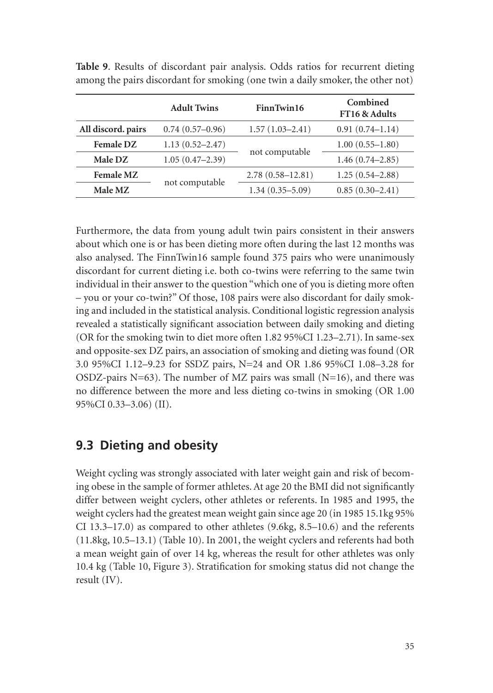|                    | <b>Adult Twins</b>  | FinnTwin16           | Combined<br>FT16 & Adults |
|--------------------|---------------------|----------------------|---------------------------|
| All discord. pairs | $0.74(0.57-0.96)$   | $1.57(1.03 - 2.41)$  | $0.91(0.74 - 1.14)$       |
| <b>Female DZ</b>   | $1.13(0.52 - 2.47)$ | not computable       | $1.00(0.55 - 1.80)$       |
| Male DZ            | $1.05(0.47-2.39)$   |                      | $1.46(0.74 - 2.85)$       |
| <b>Female MZ</b>   |                     | $2.78(0.58 - 12.81)$ | $1.25(0.54 - 2.88)$       |
| Male MZ            | not computable      | $1.34(0.35 - 5.09)$  | $0.85(0.30-2.41)$         |

**Table 9**. Results of discordant pair analysis. Odds ratios for recurrent dieting among the pairs discordant for smoking (one twin a daily smoker, the other not)

Furthermore, the data from young adult twin pairs consistent in their answers about which one is or has been dieting more often during the last 12 months was also analysed. The FinnTwin16 sample found 375 pairs who were unanimously discordant for current dieting i.e. both co-twins were referring to the same twin individual in their answer to the question "which one of you is dieting more often – you or your co-twin?" Of those, 108 pairs were also discordant for daily smoking and included in the statistical analysis. Conditional logistic regression analysis revealed a statistically significant association between daily smoking and dieting (OR for the smoking twin to diet more often 1.82 95%CI 1.23–2.71). In same-sex and opposite-sex DZ pairs, an association of smoking and dieting was found (OR 3.0 95%CI 1.12–9.23 for SSDZ pairs, N=24 and OR 1.86 95%CI 1.08–3.28 for OSDZ-pairs N=63). The number of MZ pairs was small  $(N=16)$ , and there was no difference between the more and less dieting co-twins in smoking (OR 1.00 95%CI 0.33–3.06) (II).

## **9.3 Dieting and obesity**

Weight cycling was strongly associated with later weight gain and risk of becoming obese in the sample of former athletes. At age 20 the BMI did not significantly differ between weight cyclers, other athletes or referents. In 1985 and 1995, the weight cyclers had the greatest mean weight gain since age 20 (in 1985 15.1kg 95% CI 13.3–17.0) as compared to other athletes  $(9.6kg, 8.5–10.6)$  and the referents (11.8kg, 10.5–13.1) (Table 10). In 2001, the weight cyclers and referents had both a mean weight gain of over 14 kg, whereas the result for other athletes was only 10.4 kg (Table 10, Figure 3). Stratification for smoking status did not change the result (IV).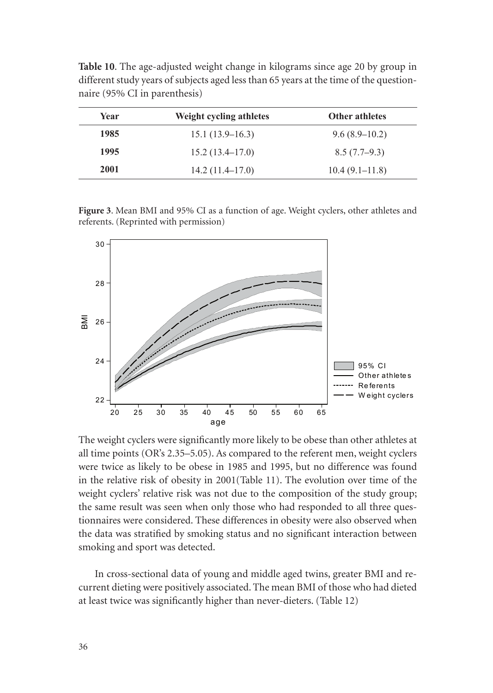**Table 10**. The age-adjusted weight change in kilograms since age 20 by group in different study years of subjects aged less than 65 years at the time of the questionnaire (95% CI in parenthesis)

| Year | Weight cycling athletes | <b>Other athletes</b> |
|------|-------------------------|-----------------------|
| 1985 | $15.1(13.9-16.3)$       | $9.6(8.9-10.2)$       |
| 1995 | 15.2(13.4–17.0)         | $8.5(7.7-9.3)$        |
| 2001 | $14.2(11.4-17.0)$       | $10.4(9.1-11.8)$      |

**Figure 3**. Mean BMI and 95% CI as a function of age. Weight cyclers, other athletes and referents. (Reprinted with permission)



The weight cyclers were significantly more likely to be obese than other athletes at all time points (OR's 2.35–5.05). As compared to the referent men, weight cyclers were twice as likely to be obese in 1985 and 1995, but no difference was found in the relative risk of obesity in 2001(Table 11). The evolution over time of the weight cyclers' relative risk was not due to the composition of the study group; the same result was seen when only those who had responded to all three questionnaires were considered. These differences in obesity were also observed when the data was stratified by smoking status and no significant interaction between smoking and sport was detected.

In cross-sectional data of young and middle aged twins, greater BMI and recurrent dieting were positively associated. The mean BMI of those who had dieted at least twice was significantly higher than never-dieters. (Table 12)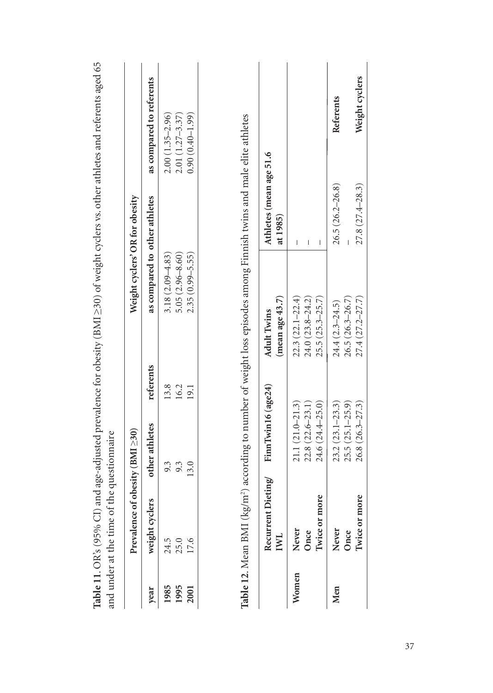|       | and under at the time of the    | questionnaire       |           |                                          |                                     | <b>lable 11.</b> OK's (95% CJ) and age-adjusted prevalence for obesity (BMI $\geq$ 30) of weight cyclers vs. other athletes and referents aged 65 |
|-------|---------------------------------|---------------------|-----------|------------------------------------------|-------------------------------------|---------------------------------------------------------------------------------------------------------------------------------------------------|
|       | Prevalence of obesity (BMI ≥30) |                     |           | Weight cyclers' OR for obesity           |                                     |                                                                                                                                                   |
| year  | weight cyclers                  | other athletes      | referents | as compared to other athletes            |                                     | as compared to referents                                                                                                                          |
| 1985  | 24.5                            | 9.3                 | 13.8      | $3.18(2.09 - 4.83)$                      |                                     | $2.00(1.35-2.96)$                                                                                                                                 |
| 1995  | 25.0                            | 9.3                 | 16.2      | $5.05(2.96 - 8.60)$                      |                                     | $2.01(1.27 - 3.37)$                                                                                                                               |
| 2001  | 17.6                            | 13.0                | 19.1      | $2.35(0.99 - 5.55)$                      |                                     | $(0.90(0.40-1.99))$                                                                                                                               |
|       | mg/<br>Recurrent Dieti<br>IWL   | FinnTwin16 (age24)  |           | (mean age $43.7$ )<br><b>Adult Twins</b> | Athletes (mean age 51.6<br>at 1985) |                                                                                                                                                   |
| Women | Never                           | $21.1(21.0 - 21.3)$ |           | $22.3(22.1 - 22.4)$                      | $\overline{1}$                      |                                                                                                                                                   |
|       | Once                            | $22.8(22.6 - 23.1)$ |           | $24.0(23.8 - 24.2)$                      | I                                   |                                                                                                                                                   |
|       | Twice or more                   | $24.6(24.4 - 25.0)$ |           | $25.5(25.3 - 25.7)$                      | $\overline{\phantom{a}}$            |                                                                                                                                                   |
| Men   | Never                           | $23.2(23.1 - 23.3)$ |           | $24.4(2.3 - 24.5)$                       | $26.5(26.2 - 26.8)$                 | Referents                                                                                                                                         |
|       | Once                            | $25.5(25.1 - 25.9)$ |           | $26.5(26.3-26.7)$                        |                                     |                                                                                                                                                   |
|       | Twice or more                   | $26.8(26.3 - 27.3)$ |           | $27.4(27.2 - 27.7)$                      | $27.8(27.4 - 28.3)$                 | Weight cyclers                                                                                                                                    |

 $765$ **Table 11**. OR's (95% CI) and age-adjusted prevalence for obesity (BMI ≥30) of weight cyclers vs. other athletes and referents aged 65  $\frac{1}{2}$  $\mathcal{L}$ h  $4.1...$ É F. ł,  $\ddot{\phantom{0}}$  $\overline{a}$  $(T<sub>0</sub>)$  $\cdot$  $\overline{a}$  $\mathbf{C}$ ÷ ł, and under at the time of the questionnaire  $\ddot{\phantom{a}}$  $\ddot{ }$ ÷ Table 11. OR's (95% CI) and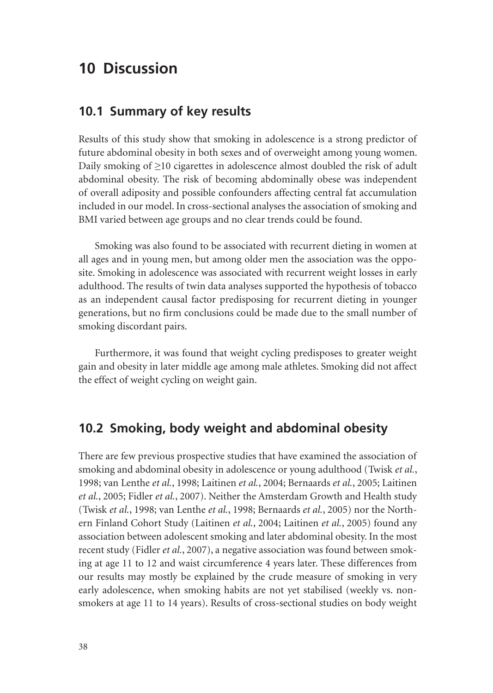# **10 Discussion**

### **10.1 Summary of key results**

Results of this study show that smoking in adolescence is a strong predictor of future abdominal obesity in both sexes and of overweight among young women. Daily smoking of ≥10 cigarettes in adolescence almost doubled the risk of adult abdominal obesity. The risk of becoming abdominally obese was independent of overall adiposity and possible confounders affecting central fat accumulation included in our model. In cross-sectional analyses the association of smoking and BMI varied between age groups and no clear trends could be found.

Smoking was also found to be associated with recurrent dieting in women at all ages and in young men, but among older men the association was the opposite. Smoking in adolescence was associated with recurrent weight losses in early adulthood. The results of twin data analyses supported the hypothesis of tobacco as an independent causal factor predisposing for recurrent dieting in younger generations, but no firm conclusions could be made due to the small number of smoking discordant pairs.

Furthermore, it was found that weight cycling predisposes to greater weight gain and obesity in later middle age among male athletes. Smoking did not affect the effect of weight cycling on weight gain.

### **10.2 Smoking, body weight and abdominal obesity**

There are few previous prospective studies that have examined the association of smoking and abdominal obesity in adolescence or young adulthood (Twisk *et al.*, 1998; van Lenthe *et al.*, 1998; Laitinen *et al.*, 2004; Bernaards *et al.*, 2005; Laitinen *et al.*, 2005; Fidler *et al.*, 2007). Neither the Amsterdam Growth and Health study (Twisk *et al.*, 1998; van Lenthe *et al.*, 1998; Bernaards *et al.*, 2005) nor the Northern Finland Cohort Study (Laitinen *et al.*, 2004; Laitinen *et al.*, 2005) found any association between adolescent smoking and later abdominal obesity. In the most recent study (Fidler *et al.*, 2007), a negative association was found between smoking at age 11 to 12 and waist circumference 4 years later. These differences from our results may mostly be explained by the crude measure of smoking in very early adolescence, when smoking habits are not yet stabilised (weekly vs. nonsmokers at age 11 to 14 years). Results of cross-sectional studies on body weight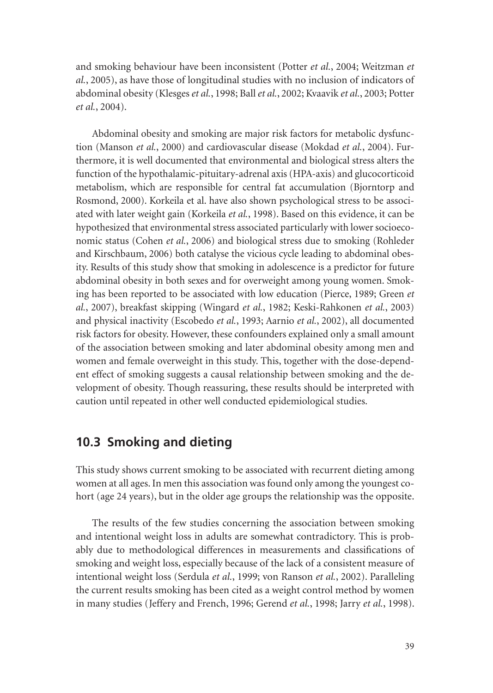and smoking behaviour have been inconsistent (Potter *et al.*, 2004; Weitzman *et al.*, 2005), as have those of longitudinal studies with no inclusion of indicators of abdominal obesity (Klesges *et al.*, 1998; Ball *et al.*, 2002; Kvaavik *et al.*, 2003; Potter *et al.*, 2004).

Abdominal obesity and smoking are major risk factors for metabolic dysfunction (Manson *et al.*, 2000) and cardiovascular disease (Mokdad *et al.*, 2004). Furthermore, it is well documented that environmental and biological stress alters the function of the hypothalamic-pituitary-adrenal axis (HPA-axis) and glucocorticoid metabolism, which are responsible for central fat accumulation (Bjorntorp and Rosmond, 2000). Korkeila et al. have also shown psychological stress to be associated with later weight gain (Korkeila *et al.*, 1998). Based on this evidence, it can be hypothesized that environmental stress associated particularly with lower socioeconomic status (Cohen *et al.*, 2006) and biological stress due to smoking (Rohleder and Kirschbaum, 2006) both catalyse the vicious cycle leading to abdominal obesity. Results of this study show that smoking in adolescence is a predictor for future abdominal obesity in both sexes and for overweight among young women. Smoking has been reported to be associated with low education (Pierce, 1989; Green *et al.*, 2007), breakfast skipping (Wingard *et al.*, 1982; Keski-Rahkonen *et al.*, 2003) and physical inactivity (Escobedo *et al.*, 1993; Aarnio *et al.*, 2002), all documented risk factors for obesity. However, these confounders explained only a small amount of the association between smoking and later abdominal obesity among men and women and female overweight in this study. This, together with the dose-dependent effect of smoking suggests a causal relationship between smoking and the development of obesity. Though reassuring, these results should be interpreted with caution until repeated in other well conducted epidemiological studies.

### **10.3 Smoking and dieting**

This study shows current smoking to be associated with recurrent dieting among women at all ages. In men this association was found only among the youngest cohort (age 24 years), but in the older age groups the relationship was the opposite.

The results of the few studies concerning the association between smoking and intentional weight loss in adults are somewhat contradictory. This is probably due to methodological differences in measurements and classifications of smoking and weight loss, especially because of the lack of a consistent measure of intentional weight loss (Serdula *et al.*, 1999; von Ranson *et al.*, 2002). Paralleling the current results smoking has been cited as a weight control method by women in many studies (Jeffery and French, 1996; Gerend *et al.*, 1998; Jarry *et al.*, 1998).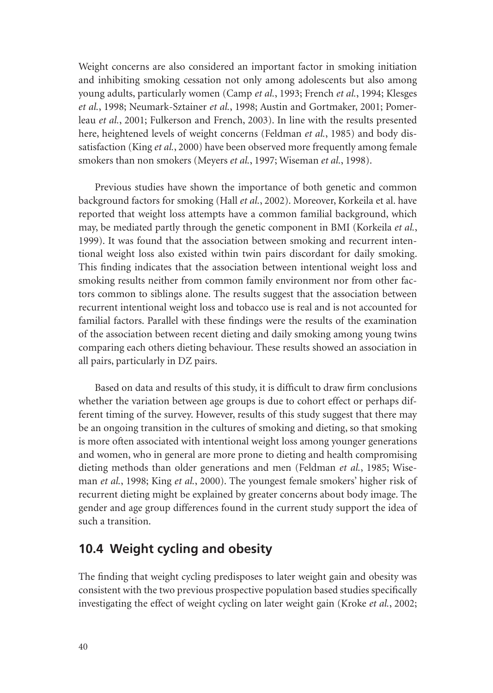Weight concerns are also considered an important factor in smoking initiation and inhibiting smoking cessation not only among adolescents but also among young adults, particularly women (Camp *et al.*, 1993; French *et al.*, 1994; Klesges *et al.*, 1998; Neumark-Sztainer *et al.*, 1998; Austin and Gortmaker, 2001; Pomerleau *et al.*, 2001; Fulkerson and French, 2003). In line with the results presented here, heightened levels of weight concerns (Feldman *et al.*, 1985) and body dissatisfaction (King *et al.*, 2000) have been observed more frequently among female smokers than non smokers (Meyers *et al.*, 1997; Wiseman *et al.*, 1998).

Previous studies have shown the importance of both genetic and common background factors for smoking (Hall *et al.*, 2002). Moreover, Korkeila et al. have reported that weight loss attempts have a common familial background, which may, be mediated partly through the genetic component in BMI (Korkeila *et al.*, 1999). It was found that the association between smoking and recurrent intentional weight loss also existed within twin pairs discordant for daily smoking. This finding indicates that the association between intentional weight loss and smoking results neither from common family environment nor from other factors common to siblings alone. The results suggest that the association between recurrent intentional weight loss and tobacco use is real and is not accounted for familial factors. Parallel with these findings were the results of the examination of the association between recent dieting and daily smoking among young twins comparing each others dieting behaviour. These results showed an association in all pairs, particularly in DZ pairs.

Based on data and results of this study, it is difficult to draw firm conclusions whether the variation between age groups is due to cohort effect or perhaps different timing of the survey. However, results of this study suggest that there may be an ongoing transition in the cultures of smoking and dieting, so that smoking is more often associated with intentional weight loss among younger generations and women, who in general are more prone to dieting and health compromising dieting methods than older generations and men (Feldman *et al.*, 1985; Wiseman *et al.*, 1998; King *et al.*, 2000). The youngest female smokers' higher risk of recurrent dieting might be explained by greater concerns about body image. The gender and age group differences found in the current study support the idea of such a transition.

## **10.4 Weight cycling and obesity**

The finding that weight cycling predisposes to later weight gain and obesity was consistent with the two previous prospective population based studies specifically investigating the effect of weight cycling on later weight gain (Kroke *et al.*, 2002;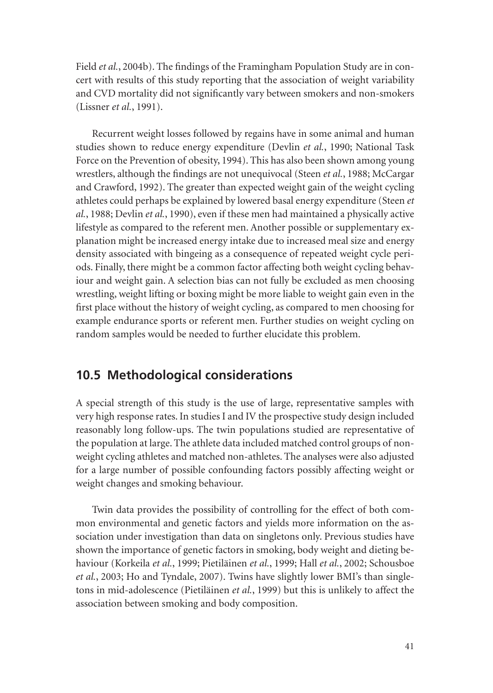Field et al., 2004b). The findings of the Framingham Population Study are in concert with results of this study reporting that the association of weight variability and CVD mortality did not significantly vary between smokers and non-smokers (Lissner *et al.*, 1991).

Recurrent weight losses followed by regains have in some animal and human studies shown to reduce energy expenditure (Devlin *et al.*, 1990; National Task Force on the Prevention of obesity, 1994). This has also been shown among young wrestlers, although the findings are not unequivocal (Steen et al., 1988; McCargar and Crawford, 1992). The greater than expected weight gain of the weight cycling athletes could perhaps be explained by lowered basal energy expenditure (Steen *et al.*, 1988; Devlin *et al.*, 1990), even if these men had maintained a physically active lifestyle as compared to the referent men. Another possible or supplementary explanation might be increased energy intake due to increased meal size and energy density associated with bingeing as a consequence of repeated weight cycle periods. Finally, there might be a common factor affecting both weight cycling behaviour and weight gain. A selection bias can not fully be excluded as men choosing wrestling, weight lifting or boxing might be more liable to weight gain even in the first place without the history of weight cycling, as compared to men choosing for example endurance sports or referent men. Further studies on weight cycling on random samples would be needed to further elucidate this problem.

## **10.5 Methodological considerations**

A special strength of this study is the use of large, representative samples with very high response rates. In studies I and IV the prospective study design included reasonably long follow-ups. The twin populations studied are representative of the population at large. The athlete data included matched control groups of nonweight cycling athletes and matched non-athletes. The analyses were also adjusted for a large number of possible confounding factors possibly affecting weight or weight changes and smoking behaviour.

Twin data provides the possibility of controlling for the effect of both common environmental and genetic factors and yields more information on the association under investigation than data on singletons only. Previous studies have shown the importance of genetic factors in smoking, body weight and dieting behaviour (Korkeila *et al.*, 1999; Pietiläinen *et al.*, 1999; Hall *et al.*, 2002; Schousboe *et al.*, 2003; Ho and Tyndale, 2007). Twins have slightly lower BMI's than singletons in mid-adolescence (Pietiläinen *et al.*, 1999) but this is unlikely to affect the association between smoking and body composition.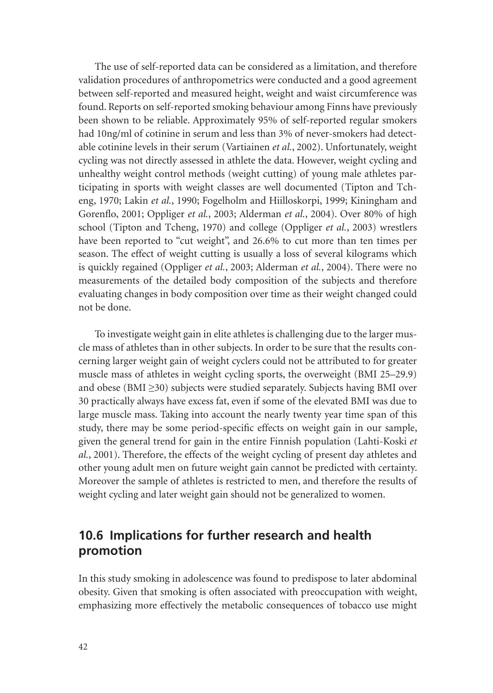The use of self-reported data can be considered as a limitation, and therefore validation procedures of anthropometrics were conducted and a good agreement between self-reported and measured height, weight and waist circumference was found. Reports on self-reported smoking behaviour among Finns have previously been shown to be reliable. Approximately 95% of self-reported regular smokers had 10ng/ml of cotinine in serum and less than 3% of never-smokers had detectable cotinine levels in their serum (Vartiainen *et al.*, 2002). Unfortunately, weight cycling was not directly assessed in athlete the data. However, weight cycling and unhealthy weight control methods (weight cutting) of young male athletes participating in sports with weight classes are well documented (Tipton and Tcheng, 1970; Lakin *et al.*, 1990; Fogelholm and Hiilloskorpi, 1999; Kiningham and Gorenflo, 2001; Oppliger et al., 2003; Alderman et al., 2004). Over 80% of high school (Tipton and Tcheng, 1970) and college (Oppliger *et al.*, 2003) wrestlers have been reported to "cut weight", and 26.6% to cut more than ten times per season. The effect of weight cutting is usually a loss of several kilograms which is quickly regained (Oppliger *et al.*, 2003; Alderman *et al.*, 2004). There were no measurements of the detailed body composition of the subjects and therefore evaluating changes in body composition over time as their weight changed could not be done.

To investigate weight gain in elite athletes is challenging due to the larger muscle mass of athletes than in other subjects. In order to be sure that the results concerning larger weight gain of weight cyclers could not be attributed to for greater muscle mass of athletes in weight cycling sports, the overweight (BMI 25–29.9) and obese (BMI ≥30) subjects were studied separately. Subjects having BMI over 30 practically always have excess fat, even if some of the elevated BMI was due to large muscle mass. Taking into account the nearly twenty year time span of this study, there may be some period-specific effects on weight gain in our sample, given the general trend for gain in the entire Finnish population (Lahti-Koski *et al.*, 2001). Therefore, the effects of the weight cycling of present day athletes and other young adult men on future weight gain cannot be predicted with certainty. Moreover the sample of athletes is restricted to men, and therefore the results of weight cycling and later weight gain should not be generalized to women.

## **10.6 Implications for further research and health promotion**

In this study smoking in adolescence was found to predispose to later abdominal obesity. Given that smoking is often associated with preoccupation with weight, emphasizing more effectively the metabolic consequences of tobacco use might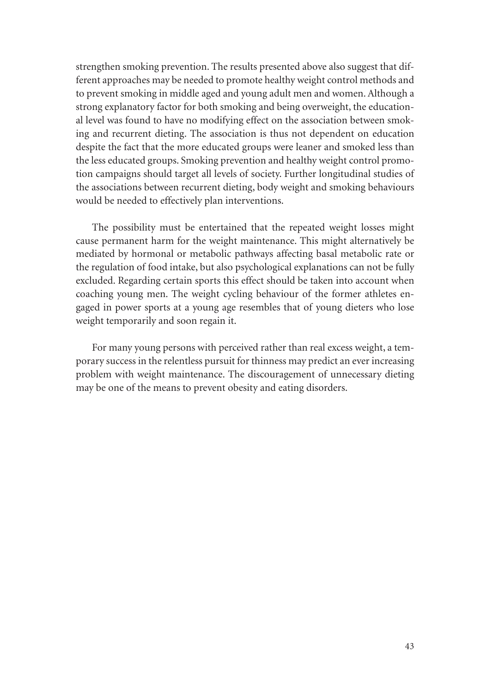strengthen smoking prevention. The results presented above also suggest that different approaches may be needed to promote healthy weight control methods and to prevent smoking in middle aged and young adult men and women. Although a strong explanatory factor for both smoking and being overweight, the educational level was found to have no modifying effect on the association between smoking and recurrent dieting. The association is thus not dependent on education despite the fact that the more educated groups were leaner and smoked less than the less educated groups. Smoking prevention and healthy weight control promotion campaigns should target all levels of society. Further longitudinal studies of the associations between recurrent dieting, body weight and smoking behaviours would be needed to effectively plan interventions.

The possibility must be entertained that the repeated weight losses might cause permanent harm for the weight maintenance. This might alternatively be mediated by hormonal or metabolic pathways affecting basal metabolic rate or the regulation of food intake, but also psychological explanations can not be fully excluded. Regarding certain sports this effect should be taken into account when coaching young men. The weight cycling behaviour of the former athletes engaged in power sports at a young age resembles that of young dieters who lose weight temporarily and soon regain it.

For many young persons with perceived rather than real excess weight, a temporary success in the relentless pursuit for thinness may predict an ever increasing problem with weight maintenance. The discouragement of unnecessary dieting may be one of the means to prevent obesity and eating disorders.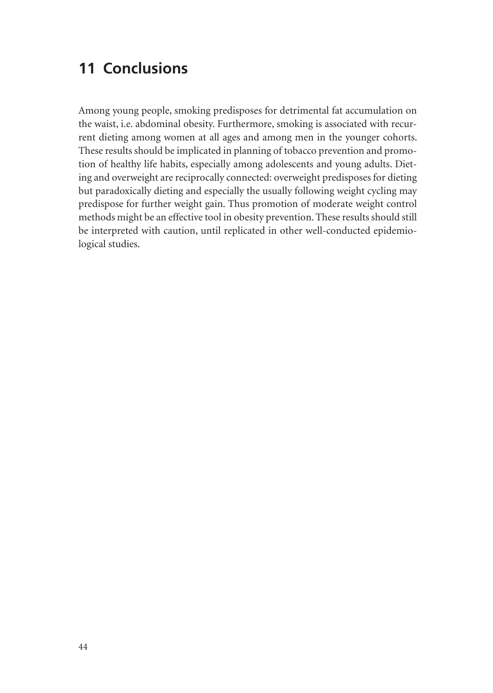# **11 Conclusions**

Among young people, smoking predisposes for detrimental fat accumulation on the waist, i.e. abdominal obesity. Furthermore, smoking is associated with recurrent dieting among women at all ages and among men in the younger cohorts. These results should be implicated in planning of tobacco prevention and promotion of healthy life habits, especially among adolescents and young adults. Dieting and overweight are reciprocally connected: overweight predisposes for dieting but paradoxically dieting and especially the usually following weight cycling may predispose for further weight gain. Thus promotion of moderate weight control methods might be an effective tool in obesity prevention. These results should still be interpreted with caution, until replicated in other well-conducted epidemiological studies.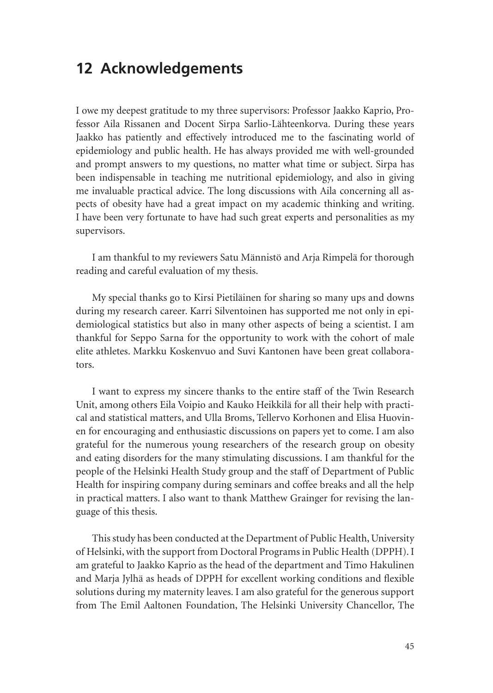# **12 Acknowledgements**

I owe my deepest gratitude to my three supervisors: Professor Jaakko Kaprio, Professor Aila Rissanen and Docent Sirpa Sarlio-Lähteenkorva. During these years Jaakko has patiently and effectively introduced me to the fascinating world of epidemiology and public health. He has always provided me with well-grounded and prompt answers to my questions, no matter what time or subject. Sirpa has been indispensable in teaching me nutritional epidemiology, and also in giving me invaluable practical advice. The long discussions with Aila concerning all aspects of obesity have had a great impact on my academic thinking and writing. I have been very fortunate to have had such great experts and personalities as my supervisors.

I am thankful to my reviewers Satu Männistö and Arja Rimpelä for thorough reading and careful evaluation of my thesis.

My special thanks go to Kirsi Pietiläinen for sharing so many ups and downs during my research career. Karri Silventoinen has supported me not only in epidemiological statistics but also in many other aspects of being a scientist. I am thankful for Seppo Sarna for the opportunity to work with the cohort of male elite athletes. Markku Koskenvuo and Suvi Kantonen have been great collaborators.

I want to express my sincere thanks to the entire staff of the Twin Research Unit, among others Eila Voipio and Kauko Heikkilä for all their help with practical and statistical matters, and Ulla Broms, Tellervo Korhonen and Elisa Huovinen for encouraging and enthusiastic discussions on papers yet to come. I am also grateful for the numerous young researchers of the research group on obesity and eating disorders for the many stimulating discussions. I am thankful for the people of the Helsinki Health Study group and the staff of Department of Public Health for inspiring company during seminars and coffee breaks and all the help in practical matters. I also want to thank Matthew Grainger for revising the language of this thesis.

This study has been conducted at the Department of Public Health, University of Helsinki, with the support from Doctoral Programs in Public Health (DPPH). I am grateful to Jaakko Kaprio as the head of the department and Timo Hakulinen and Marja Jylhä as heads of DPPH for excellent working conditions and flexible solutions during my maternity leaves. I am also grateful for the generous support from The Emil Aaltonen Foundation, The Helsinki University Chancellor, The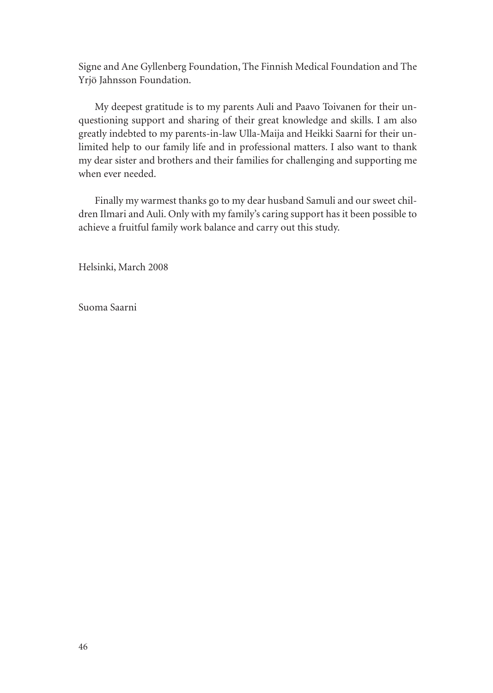Signe and Ane Gyllenberg Foundation, The Finnish Medical Foundation and The Yrjö Jahnsson Foundation.

My deepest gratitude is to my parents Auli and Paavo Toivanen for their unquestioning support and sharing of their great knowledge and skills. I am also greatly indebted to my parents-in-law Ulla-Maija and Heikki Saarni for their unlimited help to our family life and in professional matters. I also want to thank my dear sister and brothers and their families for challenging and supporting me when ever needed.

Finally my warmest thanks go to my dear husband Samuli and our sweet children Ilmari and Auli. Only with my family's caring support has it been possible to achieve a fruitful family work balance and carry out this study.

Helsinki, March 2008

Suoma Saarni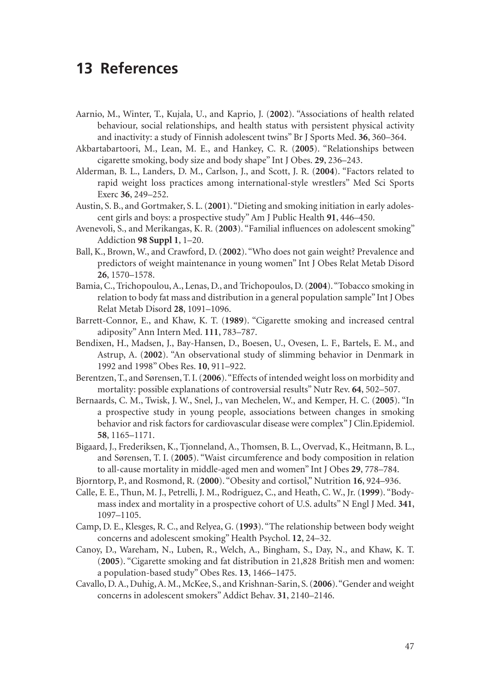# **13 References**

- Aarnio, M., Winter, T., Kujala, U., and Kaprio, J. (**2002**). "Associations of health related behaviour, social relationships, and health status with persistent physical activity and inactivity: a study of Finnish adolescent twins" Br J Sports Med. **36**, 360–364.
- Akbartabartoori, M., Lean, M. E., and Hankey, C. R. (**2005**). "Relationships between cigarette smoking, body size and body shape" Int J Obes. **29**, 236–243.
- Alderman, B. L., Landers, D. M., Carlson, J., and Scott, J. R. (**2004**). "Factors related to rapid weight loss practices among international-style wrestlers" Med Sci Sports Exerc **36**, 249–252.
- Austin, S. B., and Gortmaker, S. L. (**2001**). "Dieting and smoking initiation in early adolescent girls and boys: a prospective study" Am J Public Health **91**, 446–450.
- Avenevoli, S., and Merikangas, K. R. (2003). "Familial influences on adolescent smoking" Addiction **98 Suppl 1**, 1–20.
- Ball, K., Brown, W., and Crawford, D. (**2002**). "Who does not gain weight? Prevalence and predictors of weight maintenance in young women" Int J Obes Relat Metab Disord **26**, 1570–1578.
- Bamia, C., Trichopoulou, A., Lenas, D., and Trichopoulos, D. (**2004**). "Tobacco smoking in relation to body fat mass and distribution in a general population sample" Int J Obes Relat Metab Disord **28**, 1091–1096.
- Barrett-Connor, E., and Khaw, K. T. (**1989**). "Cigarette smoking and increased central adiposity" Ann Intern Med. **111**, 783–787.
- Bendixen, H., Madsen, J., Bay-Hansen, D., Boesen, U., Ovesen, L. F., Bartels, E. M., and Astrup, A. (**2002**). "An observational study of slimming behavior in Denmark in 1992 and 1998" Obes Res. **10**, 911–922.
- Berentzen, T., and Sørensen, T. I. (**2006**). "Effects of intended weight loss on morbidity and mortality: possible explanations of controversial results" Nutr Rev. **64**, 502–507.
- Bernaards, C. M., Twisk, J. W., Snel, J., van Mechelen, W., and Kemper, H. C. (**2005**). "In a prospective study in young people, associations between changes in smoking behavior and risk factors for cardiovascular disease were complex" J Clin.Epidemiol. **58**, 1165–1171.
- Bigaard, J., Frederiksen, K., Tjonneland, A., Thomsen, B. L., Overvad, K., Heitmann, B. L., and Sørensen, T. I. (**2005**). "Waist circumference and body composition in relation to all-cause mortality in middle-aged men and women" Int J Obes **29**, 778–784.
- Bjorntorp, P., and Rosmond, R. (**2000**). "Obesity and cortisol," Nutrition **16**, 924–936.
- Calle, E. E., Thun, M. J., Petrelli, J. M., Rodriguez, C., and Heath, C. W., Jr. (**1999**). "Bodymass index and mortality in a prospective cohort of U.S. adults" N Engl J Med. **341**, 1097–1105.
- Camp, D. E., Klesges, R. C., and Relyea, G. (**1993**). "The relationship between body weight concerns and adolescent smoking" Health Psychol. **12**, 24–32.
- Canoy, D., Wareham, N., Luben, R., Welch, A., Bingham, S., Day, N., and Khaw, K. T. (**2005**). "Cigarette smoking and fat distribution in 21,828 British men and women: a population-based study" Obes Res. **13**, 1466–1475.
- Cavallo, D. A., Duhig, A. M., McKee, S., and Krishnan-Sarin, S. (**2006**). "Gender and weight concerns in adolescent smokers" Addict Behav. **31**, 2140–2146.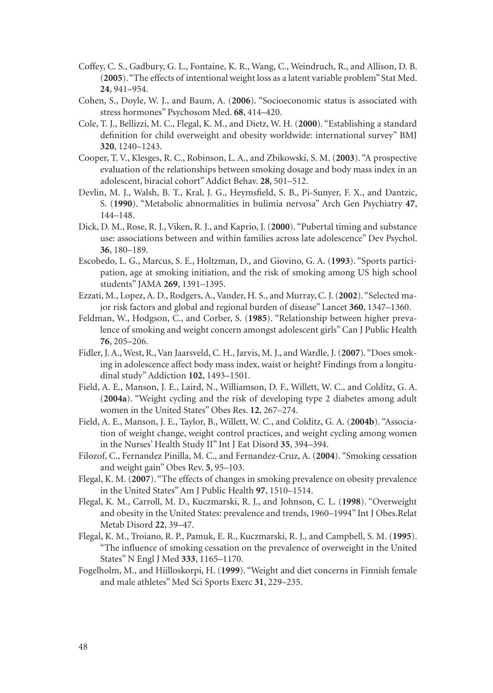- Coffey, C. S., Gadbury, G. L., Fontaine, K. R., Wang, C., Weindruch, R., and Allison, D. B. (**2005**). "The effects of intentional weight loss as a latent variable problem" Stat Med. **24**, 941–954.
- Cohen, S., Doyle, W. J., and Baum, A. (**2006**). "Socioeconomic status is associated with stress hormones" Psychosom Med. **68**, 414–420.
- Cole, T. J., Bellizzi, M. C., Flegal, K. M., and Dietz, W. H. (**2000**). "Establishing a standard definition for child overweight and obesity worldwide: international survey" BMJ **320**, 1240–1243.
- Cooper, T. V., Klesges, R. C., Robinson, L. A., and Zbikowski, S. M. (**2003**). "A prospective evaluation of the relationships between smoking dosage and body mass index in an adolescent, biracial cohort" Addict Behav. **28**, 501–512.
- Devlin, M. J., Walsh, B. T., Kral, J. G., Heymsfield, S. B., Pi-Sunyer, F. X., and Dantzic, S. (**1990**). "Metabolic abnormalities in bulimia nervosa" Arch Gen Psychiatry **47**, 144–148.
- Dick, D. M., Rose, R. J., Viken, R. J., and Kaprio, J. (**2000**). "Pubertal timing and substance use: associations between and within families across late adolescence" Dev Psychol. **36**, 180–189.
- Escobedo, L. G., Marcus, S. E., Holtzman, D., and Giovino, G. A. (**1993**). "Sports participation, age at smoking initiation, and the risk of smoking among US high school students" JAMA **269**, 1391–1395.
- Ezzati, M., Lopez, A. D., Rodgers, A., Vander, H. S., and Murray, C. J. (**2002**). "Selected major risk factors and global and regional burden of disease" Lancet **360**, 1347–1360.
- Feldman, W., Hodgson, C., and Corber, S. (**1985**). "Relationship between higher prevalence of smoking and weight concern amongst adolescent girls" Can J Public Health **76**, 205–206.
- Fidler, J. A., West, R., Van Jaarsveld, C. H., Jarvis, M. J., and Wardle, J. (**2007**). "Does smoking in adolescence affect body mass index, waist or height? Findings from a longitudinal study" Addiction **102**, 1493–1501.
- Field, A. E., Manson, J. E., Laird, N., Williamson, D. F., Willett, W. C., and Colditz, G. A. (**2004a**). "Weight cycling and the risk of developing type 2 diabetes among adult women in the United States" Obes Res. **12**, 267–274.
- Field, A. E., Manson, J. E., Taylor, B., Willett, W. C., and Colditz, G. A. (**2004b**). "Association of weight change, weight control practices, and weight cycling among women in the Nurses' Health Study II" Int J Eat Disord **35**, 394–394.
- Filozof, C., Fernandez Pinilla, M. C., and Fernandez-Cruz, A. (**2004**). "Smoking cessation and weight gain" Obes Rev. **5**, 95–103.
- Flegal, K. M. (**2007**). "The effects of changes in smoking prevalence on obesity prevalence in the United States" Am J Public Health **97**, 1510–1514.
- Flegal, K. M., Carroll, M. D., Kuczmarski, R. J., and Johnson, C. L. (**1998**). "Overweight and obesity in the United States: prevalence and trends, 1960–1994" Int J Obes.Relat Metab Disord **22**, 39–47.
- Flegal, K. M., Troiano, R. P., Pamuk, E. R., Kuczmarski, R. J., and Campbell, S. M. (**1995**). "The influence of smoking cessation on the prevalence of overweight in the United States" N Engl J Med **333**, 1165–1170.
- Fogelholm, M., and Hiilloskorpi, H. (**1999**). "Weight and diet concerns in Finnish female and male athletes" Med Sci Sports Exerc **31**, 229–235.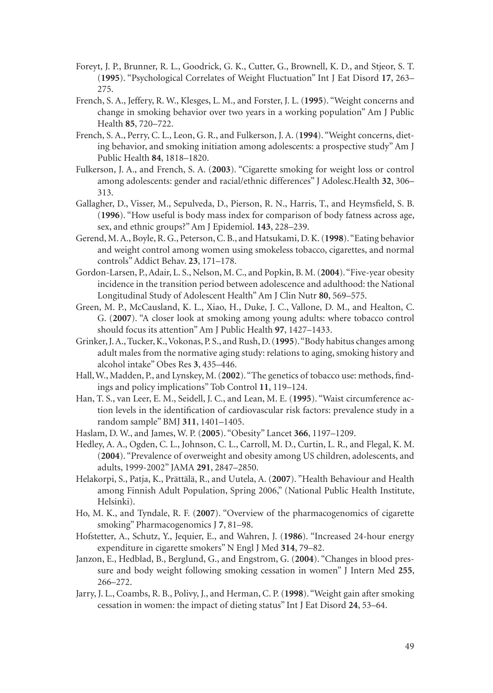- Foreyt, J. P., Brunner, R. L., Goodrick, G. K., Cutter, G., Brownell, K. D., and Stjeor, S. T. (**1995**). "Psychological Correlates of Weight Fluctuation" Int J Eat Disord **17**, 263– 275.
- French, S. A., Jeffery, R. W., Klesges, L. M., and Forster, J. L. (**1995**). "Weight concerns and change in smoking behavior over two years in a working population" Am J Public Health **85**, 720–722.
- French, S. A., Perry, C. L., Leon, G. R., and Fulkerson, J. A. (**1994**). "Weight concerns, dieting behavior, and smoking initiation among adolescents: a prospective study" Am J Public Health **84**, 1818–1820.
- Fulkerson, J. A., and French, S. A. (**2003**). "Cigarette smoking for weight loss or control among adolescents: gender and racial/ethnic differences" J Adolesc.Health **32**, 306– 313.
- Gallagher, D., Visser, M., Sepulveda, D., Pierson, R. N., Harris, T., and Heymsfield, S. B. (**1996**). "How useful is body mass index for comparison of body fatness across age, sex, and ethnic groups?" Am J Epidemiol. **143**, 228–239.
- Gerend, M. A., Boyle, R. G., Peterson, C. B., and Hatsukami, D. K. (**1998**). "Eating behavior and weight control among women using smokeless tobacco, cigarettes, and normal controls" Addict Behav. **23**, 171–178.
- Gordon-Larsen, P., Adair, L. S., Nelson, M. C., and Popkin, B. M. (**2004**). "Five-year obesity incidence in the transition period between adolescence and adulthood: the National Longitudinal Study of Adolescent Health" Am J Clin Nutr **80**, 569–575.
- Green, M. P., McCausland, K. L., Xiao, H., Duke, J. C., Vallone, D. M., and Healton, C. G. (**2007**). "A closer look at smoking among young adults: where tobacco control should focus its attention" Am J Public Health **97**, 1427–1433.
- Grinker, J. A., Tucker, K., Vokonas, P. S., and Rush, D. (**1995**). "Body habitus changes among adult males from the normative aging study: relations to aging, smoking history and alcohol intake" Obes Res **3**, 435–446.
- Hall, W., Madden, P., and Lynskey, M. (2002). "The genetics of tobacco use: methods, findings and policy implications" Tob Control **11**, 119–124.
- Han, T. S., van Leer, E. M., Seidell, J. C., and Lean, M. E. (**1995**). "Waist circumference action levels in the identification of cardiovascular risk factors: prevalence study in a random sample" BMJ **311**, 1401–1405.
- Haslam, D. W., and James, W. P. (**2005**). "Obesity" Lancet **366**, 1197–1209.
- Hedley, A. A., Ogden, C. L., Johnson, C. L., Carroll, M. D., Curtin, L. R., and Flegal, K. M. (**2004**). "Prevalence of overweight and obesity among US children, adolescents, and adults, 1999-2002" JAMA **291**, 2847–2850.
- Helakorpi, S., Patja, K., Prättälä, R., and Uutela, A. (**2007**). "Health Behaviour and Health among Finnish Adult Population, Spring 2006," (National Public Health Institute, Helsinki).
- Ho, M. K., and Tyndale, R. F. (**2007**). "Overview of the pharmacogenomics of cigarette smoking" Pharmacogenomics J **7**, 81–98.
- Hofstetter, A., Schutz, Y., Jequier, E., and Wahren, J. (**1986**). "Increased 24-hour energy expenditure in cigarette smokers" N Engl J Med **314**, 79–82.
- Janzon, E., Hedblad, B., Berglund, G., and Engstrom, G. (**2004**). "Changes in blood pressure and body weight following smoking cessation in women" J Intern Med **255**, 266–272.
- Jarry, J. L., Coambs, R. B., Polivy, J., and Herman, C. P. (**1998**). "Weight gain after smoking cessation in women: the impact of dieting status" Int J Eat Disord **24**, 53–64.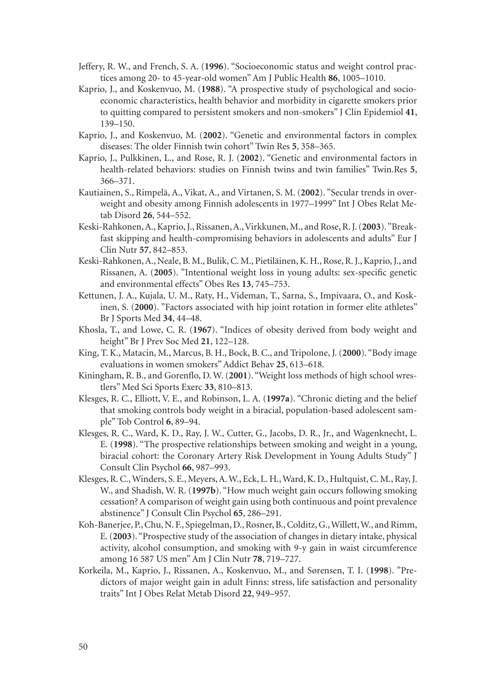- Jeffery, R. W., and French, S. A. (**1996**). "Socioeconomic status and weight control practices among 20- to 45-year-old women" Am J Public Health **86**, 1005–1010.
- Kaprio, J., and Koskenvuo, M. (**1988**). "A prospective study of psychological and socioeconomic characteristics, health behavior and morbidity in cigarette smokers prior to quitting compared to persistent smokers and non-smokers" J Clin Epidemiol **41**, 139–150.
- Kaprio, J., and Koskenvuo, M. (**2002**). "Genetic and environmental factors in complex diseases: The older Finnish twin cohort" Twin Res **5**, 358–365.
- Kaprio, J., Pulkkinen, L., and Rose, R. J. (**2002**). "Genetic and environmental factors in health-related behaviors: studies on Finnish twins and twin families" Twin.Res **5**, 366–371.
- Kautiainen, S., Rimpelä, A., Vikat, A., and Virtanen, S. M. (**2002**). "Secular trends in overweight and obesity among Finnish adolescents in 1977–1999" Int J Obes Relat Metab Disord **26**, 544–552.
- Keski-Rahkonen, A., Kaprio, J., Rissanen, A., Virkkunen, M., and Rose, R. J. (**2003**). "Breakfast skipping and health-compromising behaviors in adolescents and adults" Eur J Clin Nutr **57**, 842–853.
- Keski-Rahkonen, A., Neale, B. M., Bulik, C. M., Pietiläinen, K. H., Rose, R. J., Kaprio, J., and Rissanen, A. (2005). "Intentional weight loss in young adults: sex-specific genetic and environmental effects" Obes Res **13**, 745–753.
- Kettunen, J. A., Kujala, U. M., Raty, H., Videman, T., Sarna, S., Impivaara, O., and Koskinen, S. (**2000**). "Factors associated with hip joint rotation in former elite athletes" Br J Sports Med **34**, 44–48.
- Khosla, T., and Lowe, C. R. (**1967**). "Indices of obesity derived from body weight and height" Br J Prev Soc Med **21**, 122–128.
- King, T. K., Matacin, M., Marcus, B. H., Bock, B. C., and Tripolone, J. (**2000**). "Body image evaluations in women smokers" Addict Behav **25**, 613–618.
- Kiningham, R. B., and Gorenflo, D. W. (2001). "Weight loss methods of high school wrestlers" Med Sci Sports Exerc **33**, 810–813.
- Klesges, R. C., Elliott, V. E., and Robinson, L. A. (**1997a**). "Chronic dieting and the belief that smoking controls body weight in a biracial, population-based adolescent sample" Tob Control **6**, 89–94.
- Klesges, R. C., Ward, K. D., Ray, J. W., Cutter, G., Jacobs, D. R., Jr., and Wagenknecht, L. E. (**1998**). "The prospective relationships between smoking and weight in a young, biracial cohort: the Coronary Artery Risk Development in Young Adults Study" J Consult Clin Psychol **66**, 987–993.
- Klesges, R. C., Winders, S. E., Meyers, A. W., Eck, L. H., Ward, K. D., Hultquist, C. M., Ray, J. W., and Shadish, W. R. (**1997b**). "How much weight gain occurs following smoking cessation? A comparison of weight gain using both continuous and point prevalence abstinence" J Consult Clin Psychol **65**, 286–291.
- Koh-Banerjee, P., Chu, N. F., Spiegelman, D., Rosner, B., Colditz, G., Willett, W., and Rimm, E. (**2003**). "Prospective study of the association of changes in dietary intake, physical activity, alcohol consumption, and smoking with 9-y gain in waist circumference among 16 587 US men" Am J Clin Nutr **78**, 719–727.
- Korkeila, M., Kaprio, J., Rissanen, A., Koskenvuo, M., and Sørensen, T. I. (**1998**). "Predictors of major weight gain in adult Finns: stress, life satisfaction and personality traits" Int J Obes Relat Metab Disord **22**, 949–957.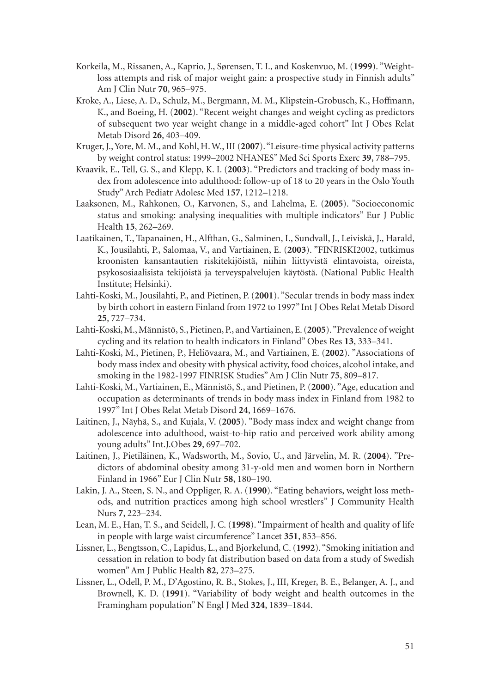- Korkeila, M., Rissanen, A., Kaprio, J., Sørensen, T. I., and Koskenvuo, M. (**1999**). "Weightloss attempts and risk of major weight gain: a prospective study in Finnish adults" Am J Clin Nutr **70**, 965–975.
- Kroke, A., Liese, A. D., Schulz, M., Bergmann, M. M., Klipstein-Grobusch, K., Hoffmann, K., and Boeing, H. (**2002**). "Recent weight changes and weight cycling as predictors of subsequent two year weight change in a middle-aged cohort" Int J Obes Relat Metab Disord **26**, 403–409.
- Kruger, J., Yore, M. M., and Kohl, H. W., III (**2007**). "Leisure-time physical activity patterns by weight control status: 1999–2002 NHANES" Med Sci Sports Exerc **39**, 788–795.
- Kvaavik, E., Tell, G. S., and Klepp, K. I. (**2003**). "Predictors and tracking of body mass index from adolescence into adulthood: follow-up of 18 to 20 years in the Oslo Youth Study" Arch Pediatr Adolesc Med **157**, 1212–1218.
- Laaksonen, M., Rahkonen, O., Karvonen, S., and Lahelma, E. (**2005**). "Socioeconomic status and smoking: analysing inequalities with multiple indicators" Eur J Public Health **15**, 262–269.
- Laatikainen, T., Tapanainen, H., Alfthan, G., Salminen, I., Sundvall, J., Leiviskä, J., Harald, K., Jousilahti, P., Salomaa, V., and Vartiainen, E. (**2003**). "FINRISKI2002, tutkimus kroonisten kansantautien riskitekijöistä, niihin liittyvistä elintavoista, oireista, psykososiaalisista tekijöistä ja terveyspalvelujen käytöstä. (National Public Health Institute; Helsinki).
- Lahti-Koski, M., Jousilahti, P., and Pietinen, P. (**2001**). "Secular trends in body mass index by birth cohort in eastern Finland from 1972 to 1997" Int J Obes Relat Metab Disord **25**, 727–734.
- Lahti-Koski, M., Männistö, S., Pietinen, P., and Vartiainen, E. (**2005**). "Prevalence of weight cycling and its relation to health indicators in Finland" Obes Res **13**, 333–341.
- Lahti-Koski, M., Pietinen, P., Heliövaara, M., and Vartiainen, E. (**2002**). "Associations of body mass index and obesity with physical activity, food choices, alcohol intake, and smoking in the 1982-1997 FINRISK Studies" Am J Clin Nutr **75**, 809–817.
- Lahti-Koski, M., Vartiainen, E., Männistö, S., and Pietinen, P. (**2000**). "Age, education and occupation as determinants of trends in body mass index in Finland from 1982 to 1997" Int J Obes Relat Metab Disord **24**, 1669–1676.
- Laitinen, J., Näyhä, S., and Kujala, V. (**2005**). "Body mass index and weight change from adolescence into adulthood, waist-to-hip ratio and perceived work ability among young adults" Int.J.Obes **29**, 697–702.
- Laitinen, J., Pietiläinen, K., Wadsworth, M., Sovio, U., and Järvelin, M. R. (**2004**). "Predictors of abdominal obesity among 31-y-old men and women born in Northern Finland in 1966" Eur J Clin Nutr **58**, 180–190.
- Lakin, J. A., Steen, S. N., and Oppliger, R. A. (**1990**). "Eating behaviors, weight loss methods, and nutrition practices among high school wrestlers" J Community Health Nurs **7**, 223–234.
- Lean, M. E., Han, T. S., and Seidell, J. C. (**1998**). "Impairment of health and quality of life in people with large waist circumference" Lancet **351**, 853–856.
- Lissner, L., Bengtsson, C., Lapidus, L., and Bjorkelund, C. (**1992**). "Smoking initiation and cessation in relation to body fat distribution based on data from a study of Swedish women" Am J Public Health **82**, 273–275.
- Lissner, L., Odell, P. M., D'Agostino, R. B., Stokes, J., III, Kreger, B. E., Belanger, A. J., and Brownell, K. D. (**1991**). "Variability of body weight and health outcomes in the Framingham population" N Engl J Med **324**, 1839–1844.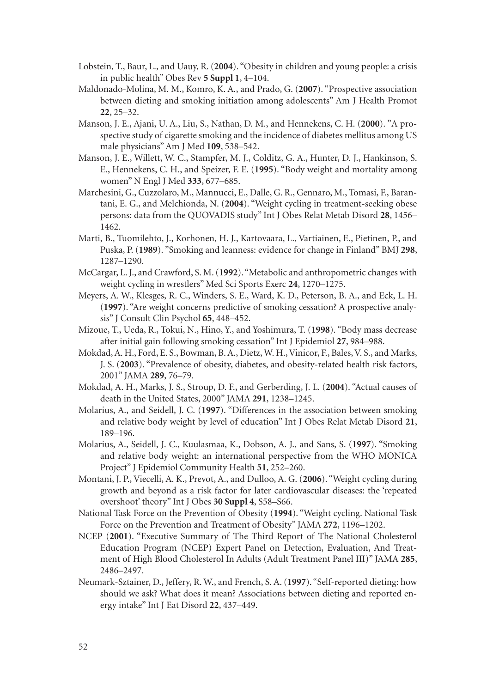- Lobstein, T., Baur, L., and Uauy, R. (**2004**). "Obesity in children and young people: a crisis in public health" Obes Rev **5 Suppl 1**, 4–104.
- Maldonado-Molina, M. M., Komro, K. A., and Prado, G. (**2007**). "Prospective association between dieting and smoking initiation among adolescents" Am J Health Promot **22**, 25–32.
- Manson, J. E., Ajani, U. A., Liu, S., Nathan, D. M., and Hennekens, C. H. (**2000**). "A prospective study of cigarette smoking and the incidence of diabetes mellitus among US male physicians" Am J Med **109**, 538–542.
- Manson, J. E., Willett, W. C., Stampfer, M. J., Colditz, G. A., Hunter, D. J., Hankinson, S. E., Hennekens, C. H., and Speizer, F. E. (**1995**). "Body weight and mortality among women" N Engl J Med **333**, 677–685.
- Marchesini, G., Cuzzolaro, M., Mannucci, E., Dalle, G. R., Gennaro, M., Tomasi, F., Barantani, E. G., and Melchionda, N. (**2004**). "Weight cycling in treatment-seeking obese persons: data from the QUOVADIS study" Int J Obes Relat Metab Disord **28**, 1456– 1462.
- Marti, B., Tuomilehto, J., Korhonen, H. J., Kartovaara, L., Vartiainen, E., Pietinen, P., and Puska, P. (**1989**). "Smoking and leanness: evidence for change in Finland" BMJ **298**, 1287–1290.
- McCargar, L. J., and Crawford, S. M. (**1992**). "Metabolic and anthropometric changes with weight cycling in wrestlers" Med Sci Sports Exerc **24**, 1270–1275.
- Meyers, A. W., Klesges, R. C., Winders, S. E., Ward, K. D., Peterson, B. A., and Eck, L. H. (**1997**). "Are weight concerns predictive of smoking cessation? A prospective analysis" J Consult Clin Psychol **65**, 448–452.
- Mizoue, T., Ueda, R., Tokui, N., Hino, Y., and Yoshimura, T. (**1998**). "Body mass decrease after initial gain following smoking cessation" Int J Epidemiol **27**, 984–988.
- Mokdad, A. H., Ford, E. S., Bowman, B. A., Dietz, W. H., Vinicor, F., Bales, V. S., and Marks, J. S. (**2003**). "Prevalence of obesity, diabetes, and obesity-related health risk factors, 2001" JAMA **289**, 76–79.
- Mokdad, A. H., Marks, J. S., Stroup, D. F., and Gerberding, J. L. (**2004**). "Actual causes of death in the United States, 2000" JAMA **291**, 1238–1245.
- Molarius, A., and Seidell, J. C. (**1997**). "Differences in the association between smoking and relative body weight by level of education" Int J Obes Relat Metab Disord **21**, 189–196.
- Molarius, A., Seidell, J. C., Kuulasmaa, K., Dobson, A. J., and Sans, S. (**1997**). "Smoking and relative body weight: an international perspective from the WHO MONICA Project" J Epidemiol Community Health **51**, 252–260.
- Montani, J. P., Viecelli, A. K., Prevot, A., and Dulloo, A. G. (**2006**). "Weight cycling during growth and beyond as a risk factor for later cardiovascular diseases: the 'repeated overshoot' theory" Int J Obes **30 Suppl 4**, S58–S66.
- National Task Force on the Prevention of Obesity (**1994**). "Weight cycling. National Task Force on the Prevention and Treatment of Obesity" JAMA **272**, 1196–1202.
- NCEP (**2001**). "Executive Summary of The Third Report of The National Cholesterol Education Program (NCEP) Expert Panel on Detection, Evaluation, And Treatment of High Blood Cholesterol In Adults (Adult Treatment Panel III)" JAMA **285**, 2486–2497.
- Neumark-Sztainer, D., Jeffery, R. W., and French, S. A. (**1997**). "Self-reported dieting: how should we ask? What does it mean? Associations between dieting and reported energy intake" Int J Eat Disord **22**, 437–449.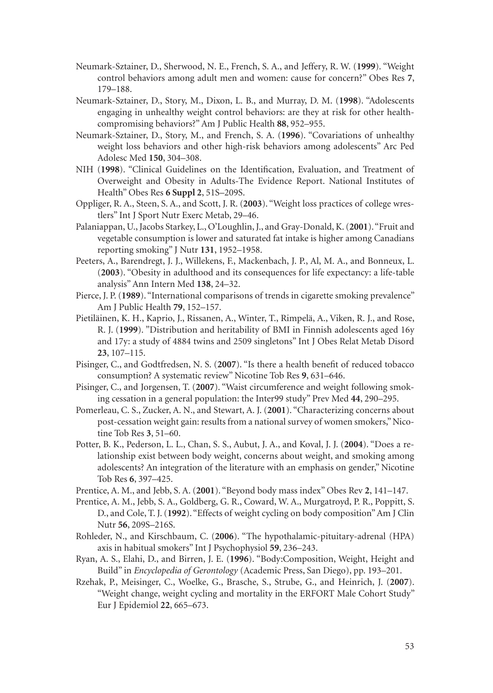- Neumark-Sztainer, D., Sherwood, N. E., French, S. A., and Jeffery, R. W. (**1999**). "Weight control behaviors among adult men and women: cause for concern?" Obes Res **7**, 179–188.
- Neumark-Sztainer, D., Story, M., Dixon, L. B., and Murray, D. M. (**1998**). "Adolescents engaging in unhealthy weight control behaviors: are they at risk for other healthcompromising behaviors?" Am J Public Health **88**, 952–955.
- Neumark-Sztainer, D., Story, M., and French, S. A. (**1996**). "Covariations of unhealthy weight loss behaviors and other high-risk behaviors among adolescents" Arc Ped Adolesc Med **150**, 304–308.
- NIH (1998). "Clinical Guidelines on the Identification, Evaluation, and Treatment of Overweight and Obesity in Adults-The Evidence Report. National Institutes of Health" Obes Res **6 Suppl 2**, 51S–209S.
- Oppliger, R. A., Steen, S. A., and Scott, J. R. (**2003**). "Weight loss practices of college wrestlers" Int J Sport Nutr Exerc Metab, 29–46.
- Palaniappan, U., Jacobs Starkey, L., O'Loughlin, J., and Gray-Donald, K. (**2001**). "Fruit and vegetable consumption is lower and saturated fat intake is higher among Canadians reporting smoking" J Nutr **131**, 1952–1958.
- Peeters, A., Barendregt, J. J., Willekens, F., Mackenbach, J. P., Al, M. A., and Bonneux, L. (**2003**). "Obesity in adulthood and its consequences for life expectancy: a life-table analysis" Ann Intern Med **138**, 24–32.
- Pierce, J. P. (**1989**). "International comparisons of trends in cigarette smoking prevalence" Am J Public Health **79**, 152–157.
- Pietiläinen, K. H., Kaprio, J., Rissanen, A., Winter, T., Rimpelä, A., Viken, R. J., and Rose, R. J. (**1999**). "Distribution and heritability of BMI in Finnish adolescents aged 16y and 17y: a study of 4884 twins and 2509 singletons" Int J Obes Relat Metab Disord **23**, 107–115.
- Pisinger, C., and Godtfredsen, N. S. (2007). "Is there a health benefit of reduced tobacco consumption? A systematic review" Nicotine Tob Res **9**, 631–646.
- Pisinger, C., and Jorgensen, T. (**2007**). "Waist circumference and weight following smoking cessation in a general population: the Inter99 study" Prev Med **44**, 290–295.
- Pomerleau, C. S., Zucker, A. N., and Stewart, A. J. (**2001**). "Characterizing concerns about post-cessation weight gain: results from a national survey of women smokers," Nicotine Tob Res **3**, 51–60.
- Potter, B. K., Pederson, L. L., Chan, S. S., Aubut, J. A., and Koval, J. J. (**2004**). "Does a relationship exist between body weight, concerns about weight, and smoking among adolescents? An integration of the literature with an emphasis on gender," Nicotine Tob Res **6**, 397–425.
- Prentice, A. M., and Jebb, S. A. (**2001**). "Beyond body mass index" Obes Rev **2**, 141–147.
- Prentice, A. M., Jebb, S. A., Goldberg, G. R., Coward, W. A., Murgatroyd, P. R., Poppitt, S. D., and Cole, T. J. (**1992**). "Effects of weight cycling on body composition" Am J Clin Nutr **56**, 209S–216S.
- Rohleder, N., and Kirschbaum, C. (**2006**). "The hypothalamic-pituitary-adrenal (HPA) axis in habitual smokers" Int J Psychophysiol **59**, 236–243.
- Ryan, A. S., Elahi, D., and Birren, J. E. (**1996**). "Body:Composition, Weight, Height and Build" in *Encyclopedia of Gerontology* (Academic Press, San Diego), pp. 193–201.
- Rzehak, P., Meisinger, C., Woelke, G., Brasche, S., Strube, G., and Heinrich, J. (**2007**). "Weight change, weight cycling and mortality in the ERFORT Male Cohort Study" Eur J Epidemiol **22**, 665–673.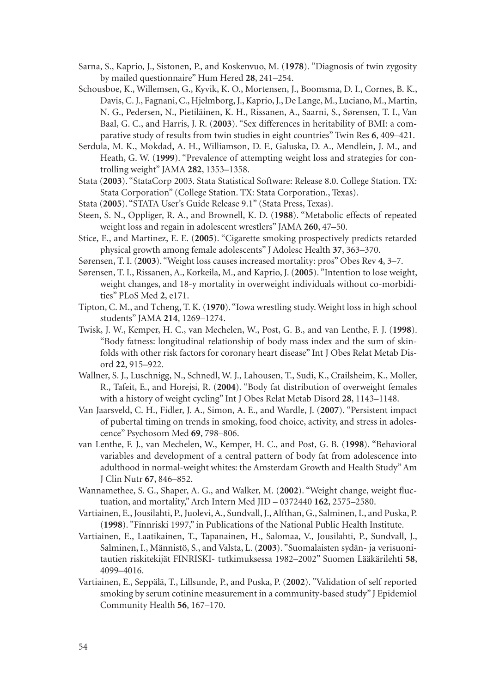- Sarna, S., Kaprio, J., Sistonen, P., and Koskenvuo, M. (**1978**). "Diagnosis of twin zygosity by mailed questionnaire" Hum Hered **28**, 241–254.
- Schousboe, K., Willemsen, G., Kyvik, K. O., Mortensen, J., Boomsma, D. I., Cornes, B. K., Davis, C. J., Fagnani, C., Hjelmborg, J., Kaprio, J., De Lange, M., Luciano, M., Martin, N. G., Pedersen, N., Pietiläinen, K. H., Rissanen, A., Saarni, S., Sørensen, T. I., Van Baal, G. C., and Harris, J. R. (**2003**). "Sex differences in heritability of BMI: a comparative study of results from twin studies in eight countries" Twin Res **6**, 409–421.
- Serdula, M. K., Mokdad, A. H., Williamson, D. F., Galuska, D. A., Mendlein, J. M., and Heath, G. W. (**1999**). "Prevalence of attempting weight loss and strategies for controlling weight" JAMA **282**, 1353–1358.
- Stata (**2003**). "StataCorp 2003. Stata Statistical Software: Release 8.0. College Station. TX: Stata Corporation" (College Station. TX: Stata Corporation., Texas).
- Stata (**2005**). "STATA User's Guide Release 9.1" (Stata Press, Texas).
- Steen, S. N., Oppliger, R. A., and Brownell, K. D. (**1988**). "Metabolic effects of repeated weight loss and regain in adolescent wrestlers" JAMA **260**, 47–50.
- Stice, E., and Martinez, E. E. (**2005**). "Cigarette smoking prospectively predicts retarded physical growth among female adolescents" J Adolesc Health **37**, 363–370.
- Sørensen, T. I. (**2003**). "Weight loss causes increased mortality: pros" Obes Rev **4**, 3–7.
- Sørensen, T. I., Rissanen, A., Korkeila, M., and Kaprio, J. (**2005**). "Intention to lose weight, weight changes, and 18-y mortality in overweight individuals without co-morbidities" PLoS Med **2**, e171.
- Tipton, C. M., and Tcheng, T. K. (**1970**). "Iowa wrestling study. Weight loss in high school students" JAMA **214**, 1269–1274.
- Twisk, J. W., Kemper, H. C., van Mechelen, W., Post, G. B., and van Lenthe, F. J. (**1998**). "Body fatness: longitudinal relationship of body mass index and the sum of skinfolds with other risk factors for coronary heart disease" Int J Obes Relat Metab Disord **22**, 915–922.
- Wallner, S. J., Luschnigg, N., Schnedl, W. J., Lahousen, T., Sudi, K., Crailsheim, K., Moller, R., Tafeit, E., and Horejsi, R. (**2004**). "Body fat distribution of overweight females with a history of weight cycling" Int J Obes Relat Metab Disord **28**, 1143–1148.
- Van Jaarsveld, C. H., Fidler, J. A., Simon, A. E., and Wardle, J. (**2007**). "Persistent impact of pubertal timing on trends in smoking, food choice, activity, and stress in adolescence" Psychosom Med **69**, 798–806.
- van Lenthe, F. J., van Mechelen, W., Kemper, H. C., and Post, G. B. (**1998**). "Behavioral variables and development of a central pattern of body fat from adolescence into adulthood in normal-weight whites: the Amsterdam Growth and Health Study" Am J Clin Nutr **67**, 846–852.
- Wannamethee, S. G., Shaper, A. G., and Walker, M. (2002). "Weight change, weight fluctuation, and mortality," Arch Intern Med JID – 0372440 **162**, 2575–2580.
- Vartiainen, E., Jousilahti, P., Juolevi, A., Sundvall, J., Alfthan, G., Salminen, I., and Puska, P. (**1998**). "Finnriski 1997," in Publications of the National Public Health Institute.
- Vartiainen, E., Laatikainen, T., Tapanainen, H., Salomaa, V., Jousilahti, P., Sundvall, J., Salminen, I., Männistö, S., and Valsta, L. (**2003**). "Suomalaisten sydän- ja verisuonitautien riskitekijät FINRISKI- tutkimuksessa 1982–2002" Suomen Lääkärilehti **58**, 4099–4016.
- Vartiainen, E., Seppälä, T., Lillsunde, P., and Puska, P. (**2002**). "Validation of self reported smoking by serum cotinine measurement in a community-based study" J Epidemiol Community Health **56**, 167–170.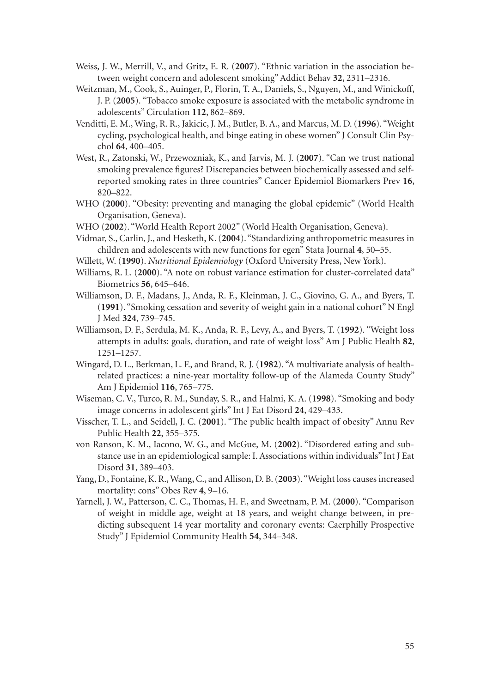- Weiss, J. W., Merrill, V., and Gritz, E. R. (**2007**). "Ethnic variation in the association between weight concern and adolescent smoking" Addict Behav **32**, 2311–2316.
- Weitzman, M., Cook, S., Auinger, P., Florin, T. A., Daniels, S., Nguyen, M., and Winickoff, J. P. (**2005**). "Tobacco smoke exposure is associated with the metabolic syndrome in adolescents" Circulation **112**, 862–869.
- Venditti, E. M., Wing, R. R., Jakicic, J. M., Butler, B. A., and Marcus, M. D. (**1996**). "Weight cycling, psychological health, and binge eating in obese women" J Consult Clin Psychol **64**, 400–405.
- West, R., Zatonski, W., Przewozniak, K., and Jarvis, M. J. (**2007**). "Can we trust national smoking prevalence figures? Discrepancies between biochemically assessed and selfreported smoking rates in three countries" Cancer Epidemiol Biomarkers Prev **16**, 820–822.
- WHO (**2000**). "Obesity: preventing and managing the global epidemic" (World Health Organisation, Geneva).
- WHO (**2002**). "World Health Report 2002" (World Health Organisation, Geneva).
- Vidmar, S., Carlin, J., and Hesketh, K. (**2004**). "Standardizing anthropometric measures in children and adolescents with new functions for egen" Stata Journal **4**, 50–55.
- Willett, W. (**1990**). *Nutritional Epidemiology* (Oxford University Press, New York).
- Williams, R. L. (**2000**). "A note on robust variance estimation for cluster-correlated data" Biometrics **56**, 645–646.
- Williamson, D. F., Madans, J., Anda, R. F., Kleinman, J. C., Giovino, G. A., and Byers, T. (**1991**). "Smoking cessation and severity of weight gain in a national cohort" N Engl J Med **324**, 739–745.
- Williamson, D. F., Serdula, M. K., Anda, R. F., Levy, A., and Byers, T. (**1992**). "Weight loss attempts in adults: goals, duration, and rate of weight loss" Am J Public Health **82**, 1251–1257.
- Wingard, D. L., Berkman, L. F., and Brand, R. J. (**1982**). "A multivariate analysis of healthrelated practices: a nine-year mortality follow-up of the Alameda County Study" Am J Epidemiol **116**, 765–775.
- Wiseman, C. V., Turco, R. M., Sunday, S. R., and Halmi, K. A. (**1998**). "Smoking and body image concerns in adolescent girls" Int J Eat Disord **24**, 429–433.
- Visscher, T. L., and Seidell, J. C. (**2001**). "The public health impact of obesity" Annu Rev Public Health **22**, 355–375.
- von Ranson, K. M., Iacono, W. G., and McGue, M. (**2002**). "Disordered eating and substance use in an epidemiological sample: I. Associations within individuals" Int J Eat Disord **31**, 389–403.
- Yang, D., Fontaine, K. R., Wang, C., and Allison, D. B. (**2003**). "Weight loss causes increased mortality: cons" Obes Rev **4**, 9–16.
- Yarnell, J. W., Patterson, C. C., Thomas, H. F., and Sweetnam, P. M. (**2000**). "Comparison of weight in middle age, weight at 18 years, and weight change between, in predicting subsequent 14 year mortality and coronary events: Caerphilly Prospective Study" J Epidemiol Community Health **54**, 344–348.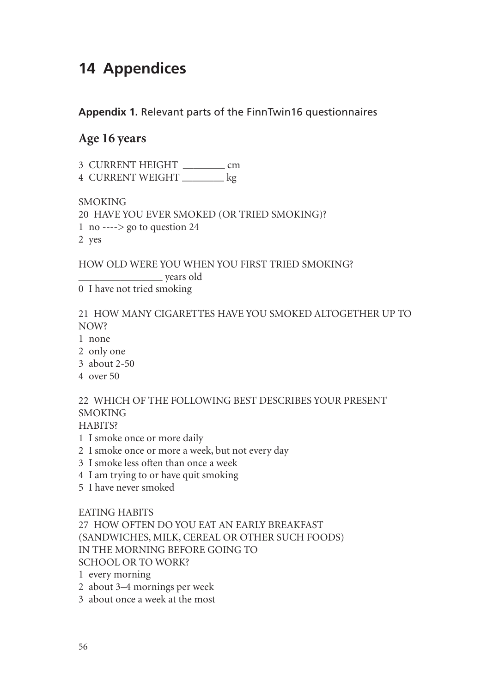# **14 Appendices**

**Appendix 1.** Relevant parts of the FinnTwin16 questionnaires

# **Age 16 years**

3 CURRENT HEIGHT \_\_\_\_\_\_\_\_\_ cm 4 CURRENT WEIGHT ———— kg

SMOKING

20 HAVE YOU EVER SMOKED (OR TRIED SMOKING)?

1 no ----> go to question 24

2 yes

HOW OLD WERE YOU WHEN YOU FIRST TRIED SMOKING?

———————— years old 0 I have not tried smoking

21 HOW MANY CIGARETTES HAVE YOU SMOKED ALTOGETHER UP TO NOW?

- 1 none
- 2 only one
- 3 about 2-50
- 4 over 50

22 WHICH OF THE FOLLOWING BEST DESCRIBES YOUR PRESENT **SMOKING** 

HABITS?

- 1 I smoke once or more daily
- 2 I smoke once or more a week, but not every day
- 3 I smoke less often than once a week
- 4 I am trying to or have quit smoking
- 5 I have never smoked

#### EATING HABITS

27 HOW OFTEN DO YOU EAT AN EARLY BREAKFAST (SANDWICHES, MILK, CEREAL OR OTHER SUCH FOODS) IN THE MORNING BEFORE GOING TO SCHOOL OR TO WORK?

1 every morning

2 about 3–4 mornings per week

3 about once a week at the most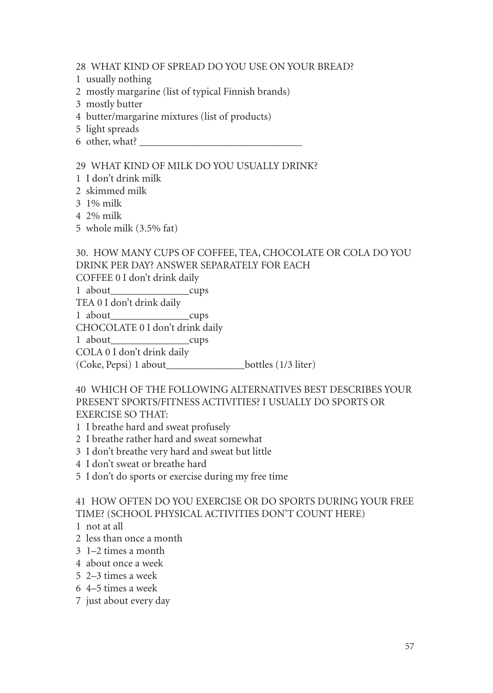#### 28 WHAT KIND OF SPREAD DO YOU USE ON YOUR BREAD?

- 1 usually nothing
- 2 mostly margarine (list of typical Finnish brands)
- 3 mostly butter
- 4 butter/margarine mixtures (list of products)
- 5 light spreads
- 6 other, what? \_\_\_\_\_\_\_\_\_\_\_\_\_\_\_\_\_\_\_\_\_\_\_\_\_\_\_\_\_\_\_

### 29 WHAT KIND OF MILK DO YOU USUALLY DRINK?

- 1 I don't drink milk
- 2 skimmed milk
- 3 1% milk
- 4 2% milk
- 5 whole milk (3.5% fat)

30. HOW MANY CUPS OF COFFEE, TEA, CHOCOLATE OR COLA DO YOU DRINK PER DAY? ANSWER SEPARATELY FOR EACH COFFEE 0 I don't drink daily 1 about cups TEA 0 I don't drink daily 1 about cups CHOCOLATE 0 I don't drink daily 1 about cups COLA 0 I don't drink daily (Coke, Pepsi) 1 about\_\_\_\_\_\_\_\_\_\_\_\_\_\_\_bottles (1/3 liter)

40 WHICH OF THE FOLLOWING ALTERNATIVES BEST DESCRIBES YOUR PRESENT SPORTS/FITNESS ACTIVITIES? I USUALLY DO SPORTS OR EXERCISE SO THAT:

- 1 I breathe hard and sweat profusely
- 2 I breathe rather hard and sweat somewhat
- 3 I don't breathe very hard and sweat but little
- 4 I don't sweat or breathe hard
- 5 I don't do sports or exercise during my free time

41 HOW OFTEN DO YOU EXERCISE OR DO SPORTS DURING YOUR FREE TIME? (SCHOOL PHYSICAL ACTIVITIES DON'T COUNT HERE)

- 1 not at all
- 2 less than once a month
- 3 1–2 times a month
- 4 about once a week
- 5 2–3 times a week
- 6 4–5 times a week
- 7 just about every day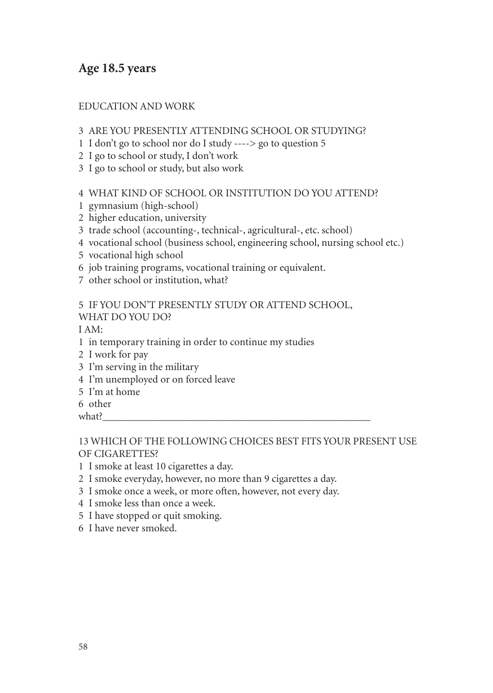## **Age 18.5 years**

### EDUCATION AND WORK

- 3 ARE YOU PRESENTLY ATTENDING SCHOOL OR STUDYING?
- 1 I don't go to school nor do I study ----> go to question 5
- 2 I go to school or study, I don't work
- 3 I go to school or study, but also work

#### 4 WHAT KIND OF SCHOOL OR INSTITUTION DO YOU ATTEND?

- 1 gymnasium (high-school)
- 2 higher education, university
- 3 trade school (accounting-, technical-, agricultural-, etc. school)
- 4 vocational school (business school, engineering school, nursing school etc.)
- 5 vocational high school
- 6 job training programs, vocational training or equivalent.
- 7 other school or institution, what?

### 5 IF YOU DON'T PRESENTLY STUDY OR ATTEND SCHOOL,

WHAT DO YOU DO?

I AM:

- 1 in temporary training in order to continue my studies
- 2 I work for pay
- 3 I'm serving in the military
- 4 I'm unemployed or on forced leave
- 5 I'm at home
- 6 other

what? $\Box$ 

### 13 WHICH OF THE FOLLOWING CHOICES BEST FITS YOUR PRESENT USE OF CIGARETTES?

- 1 I smoke at least 10 cigarettes a day.
- 2 I smoke everyday, however, no more than 9 cigarettes a day.
- 3 I smoke once a week, or more often, however, not every day.
- 4 I smoke less than once a week.
- 5 I have stopped or quit smoking.
- 6 I have never smoked.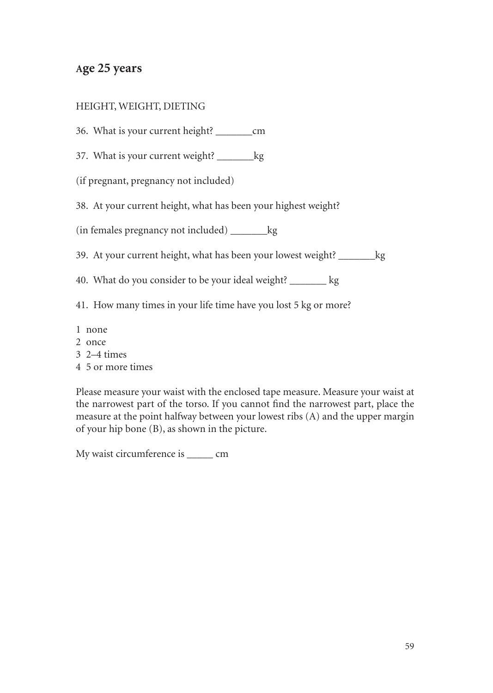### **Age 25 years**

### HEIGHT, WEIGHT, DIETING

- 36. What is your current height? \_\_\_\_\_\_\_cm
- 37. What is your current weight? \_\_\_\_\_\_\_kg
- (if pregnant, pregnancy not included)

38. At your current height, what has been your highest weight?

(in females pregnancy not included) \_\_\_\_\_\_\_kg

39. At your current height, what has been your lowest weight? \_\_\_\_\_\_\_kg

40. What do you consider to be your ideal weight? \_\_\_\_\_\_\_ kg

- 41. How many times in your life time have you lost 5 kg or more?
- 1 none
- 2 once
- 3 2–4 times
- 4 5 or more times

Please measure your waist with the enclosed tape measure. Measure your waist at the narrowest part of the torso. If you cannot find the narrowest part, place the measure at the point halfway between your lowest ribs (A) and the upper margin of your hip bone (B), as shown in the picture.

My waist circumference is \_\_\_\_\_ cm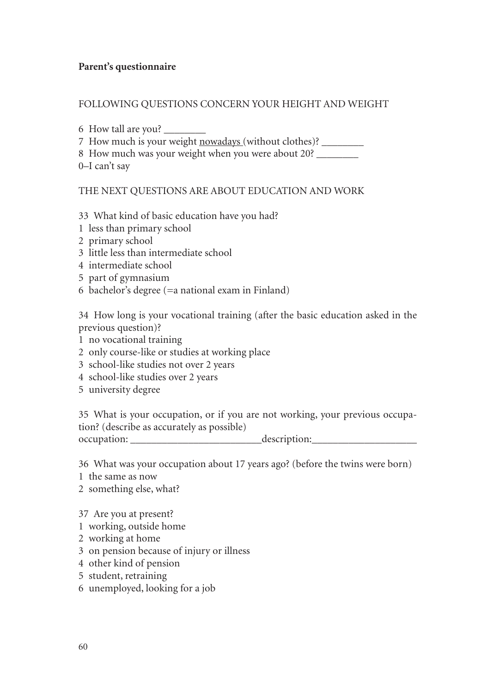#### **Parent's questionnaire**

#### FOLLOWING QUESTIONS CONCERN YOUR HEIGHT AND WEIGHT

- 6 How tall are you? \_\_\_\_\_\_\_\_
- 7 How much is your weight nowadays (without clothes)? \_\_\_\_\_\_\_\_\_\_\_\_\_\_\_\_\_\_\_\_\_\_\_\_\_\_\_
- 8 How much was your weight when you were about 20?
- 0–I can't say

#### THE NEXT QUESTIONS ARE ABOUT EDUCATION AND WORK

- 33 What kind of basic education have you had?
- 1 less than primary school
- 2 primary school
- 3 little less than intermediate school
- 4 intermediate school
- 5 part of gymnasium
- 6 bachelor's degree (=a national exam in Finland)

34 How long is your vocational training (after the basic education asked in the previous question)?

- 1 no vocational training
- 2 only course-like or studies at working place
- 3 school-like studies not over 2 years
- 4 school-like studies over 2 years
- 5 university degree

35 What is your occupation, or if you are not working, your previous occupation? (describe as accurately as possible) occupation: \_\_\_\_\_\_\_\_\_\_\_\_\_\_\_\_\_\_\_\_\_\_\_\_\_description:\_\_\_\_\_\_\_\_\_\_\_\_\_\_\_\_\_\_\_\_

36 What was your occupation about 17 years ago? (before the twins were born)

- 1 the same as now
- 2 something else, what?
- 37 Are you at present?
- 1 working, outside home
- 2 working at home
- 3 on pension because of injury or illness
- 4 other kind of pension
- 5 student, retraining
- 6 unemployed, looking for a job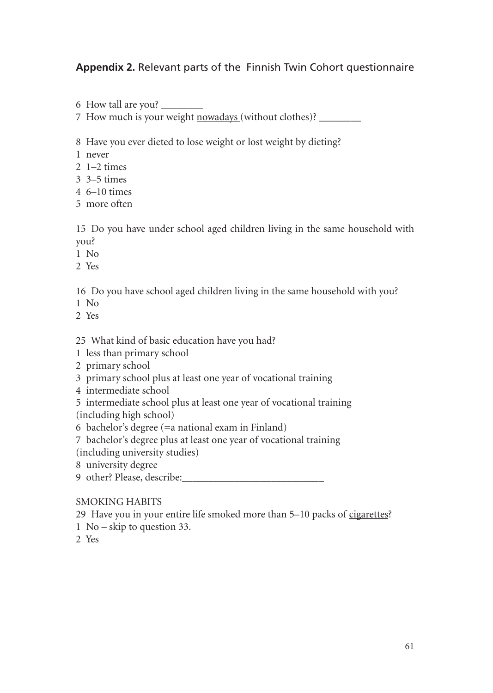### **Appendix 2.** Relevant parts of the Finnish Twin Cohort questionnaire

6 How tall are you? \_\_\_\_\_\_\_\_

7 How much is your weight nowadays (without clothes)? \_\_\_\_\_\_\_\_

8 Have you ever dieted to lose weight or lost weight by dieting?

1 never

- 2 1–2 times
- 3 3–5 times
- 4 6–10 times
- 5 more often

15 Do you have under school aged children living in the same household with you?

- 1 No
- 2 Yes

16 Do you have school aged children living in the same household with you?

- 1 No
- 2 Yes

25 What kind of basic education have you had?

- 1 less than primary school
- 2 primary school
- 3 primary school plus at least one year of vocational training
- 4 intermediate school
- 5 intermediate school plus at least one year of vocational training

(including high school)

6 bachelor's degree (=a national exam in Finland)

7 bachelor's degree plus at least one year of vocational training

(including university studies)

- 8 university degree
- 9 other? Please, describe:

### SMOKING HABITS

29 Have you in your entire life smoked more than 5–10 packs of cigarettes?

- 1 No skip to question 33.
- 2 Yes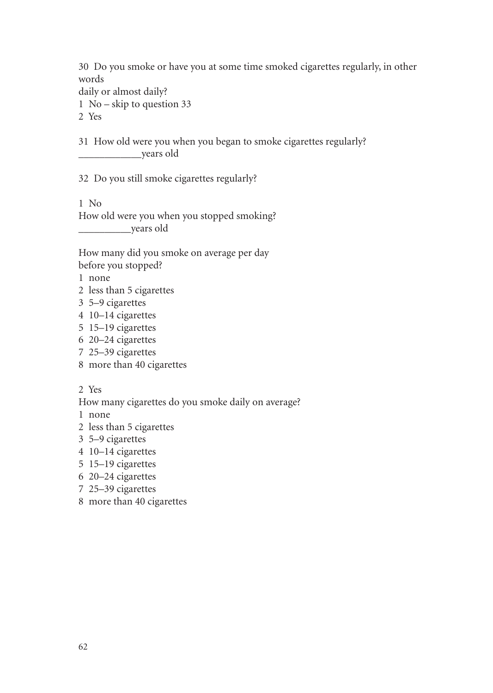30 Do you smoke or have you at some time smoked cigarettes regularly, in other words

daily or almost daily?

- 1 No skip to question 33
- 2 Yes

31 How old were you when you began to smoke cigarettes regularly? \_\_\_\_\_\_\_\_\_\_\_\_years old

32 Do you still smoke cigarettes regularly?

1 No

How old were you when you stopped smoking? \_\_\_\_\_\_\_\_\_\_years old

How many did you smoke on average per day before you stopped?

- 1 none
- 2 less than 5 cigarettes
- 3 5–9 cigarettes
- 4 10–14 cigarettes
- 5 15–19 cigarettes
- 6 20–24 cigarettes
- 7 25–39 cigarettes
- 8 more than 40 cigarettes

2 Yes

- How many cigarettes do you smoke daily on average?
- 1 none
- 2 less than 5 cigarettes
- 3 5–9 cigarettes
- 4 10–14 cigarettes
- 5 15–19 cigarettes
- 6 20–24 cigarettes
- 7 25–39 cigarettes
- 8 more than 40 cigarettes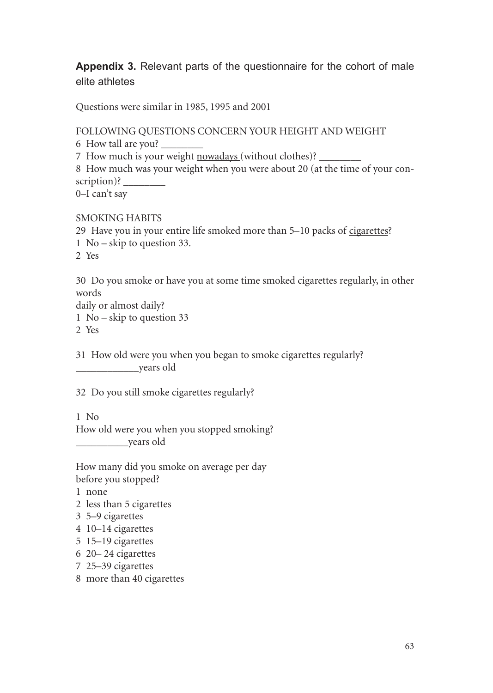**Appendix 3.** Relevant parts of the questionnaire for the cohort of male elite athletes

Questions were similar in 1985, 1995 and 2001

#### FOLLOWING QUESTIONS CONCERN YOUR HEIGHT AND WEIGHT

6 How tall are you?

7 How much is your weight nowadays (without clothes)?

8 How much was your weight when you were about 20 (at the time of your con-

scription)? \_\_\_\_\_\_\_\_

0–I can't say

#### SMOKING HABITS

- 29 Have you in your entire life smoked more than 5–10 packs of cigarettes?
- 1 No skip to question 33.

2 Yes

30 Do you smoke or have you at some time smoked cigarettes regularly, in other words

daily or almost daily?

1 No – skip to question 33

2 Yes

31 How old were you when you began to smoke cigarettes regularly? \_\_\_\_\_\_\_\_\_\_\_\_years old

32 Do you still smoke cigarettes regularly?

1 No How old were you when you stopped smoking? \_\_\_\_\_\_\_\_\_\_years old

How many did you smoke on average per day before you stopped?

- 1 none
- 2 less than 5 cigarettes
- 3 5–9 cigarettes
- 4 10–14 cigarettes
- 5 15–19 cigarettes
- 6 20– 24 cigarettes
- 7 25–39 cigarettes
- 8 more than 40 cigarettes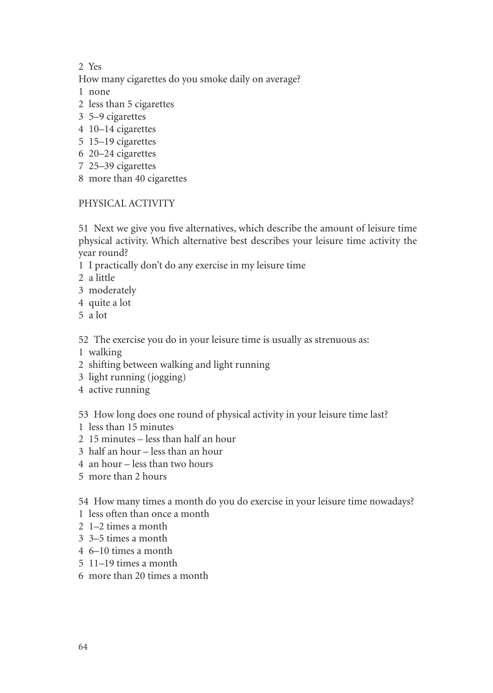2 Yes

- How many cigarettes do you smoke daily on average?
- 1 none
- 2 less than 5 cigarettes
- 3 5–9 cigarettes
- 4 10–14 cigarettes
- 5 15–19 cigarettes
- 6 20–24 cigarettes
- 7 25–39 cigarettes
- 8 more than 40 cigarettes

#### PHYSICAL ACTIVITY

51 Next we give you five alternatives, which describe the amount of leisure time physical activity. Which alternative best describes your leisure time activity the year round?

- 1 I practically don't do any exercise in my leisure time
- 2 a little
- 3 moderately
- 4 quite a lot
- 5 a lot

52 The exercise you do in your leisure time is usually as strenuous as:

- 1 walking
- 2 shifting between walking and light running
- 3 light running (jogging)
- 4 active running

53 How long does one round of physical activity in your leisure time last?

- 1 less than 15 minutes
- 2 15 minutes less than half an hour
- 3 half an hour less than an hour
- 4 an hour less than two hours
- 5 more than 2 hours

54 How many times a month do you do exercise in your leisure time nowadays?

- 1 less often than once a month
- 2 1–2 times a month
- 3 3–5 times a month
- 4 6–10 times a month
- 5 11–19 times a month
- 6 more than 20 times a month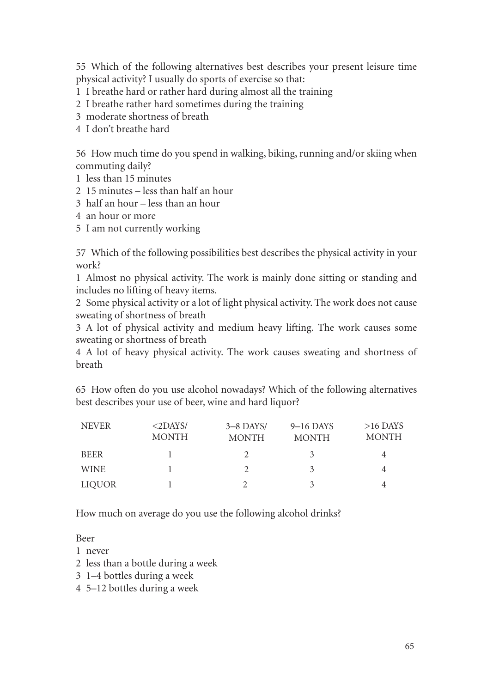55 Which of the following alternatives best describes your present leisure time physical activity? I usually do sports of exercise so that:

1 I breathe hard or rather hard during almost all the training

2 I breathe rather hard sometimes during the training

3 moderate shortness of breath

4 I don't breathe hard

56 How much time do you spend in walking, biking, running and/or skiing when commuting daily?

1 less than 15 minutes

2 15 minutes – less than half an hour

3 half an hour – less than an hour

4 an hour or more

5 I am not currently working

57 Which of the following possibilities best describes the physical activity in your work?

1 Almost no physical activity. The work is mainly done sitting or standing and includes no lifting of heavy items.

2 Some physical activity or a lot of light physical activity. The work does not cause sweating of shortness of breath

3 A lot of physical activity and medium heavy lifting. The work causes some sweating or shortness of breath

4 A lot of heavy physical activity. The work causes sweating and shortness of breath

65 How often do you use alcohol nowadays? Which of the following alternatives best describes your use of beer, wine and hard liquor?

| <b>NEVER</b> | $<2$ DAYS/<br><b>MONTH</b> | $3-8$ DAYS/<br><b>MONTH</b> | $9-16$ DAYS<br><b>MONTH</b> | $>16$ DAYS<br><b>MONTH</b> |
|--------------|----------------------------|-----------------------------|-----------------------------|----------------------------|
| <b>BEER</b>  |                            |                             |                             | 4                          |
| <b>WINE</b>  |                            |                             | 3                           | 4                          |
| LIOUOR       |                            |                             |                             | 4                          |

How much on average do you use the following alcohol drinks?

Beer

1 never

2 less than a bottle during a week

- 3 1–4 bottles during a week
- 4 5–12 bottles during a week